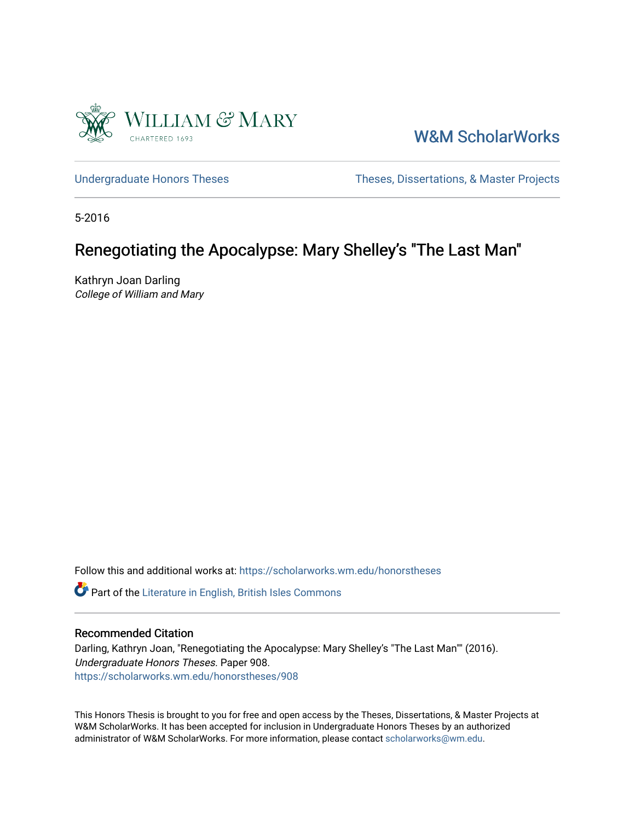

[W&M ScholarWorks](https://scholarworks.wm.edu/) 

[Undergraduate Honors Theses](https://scholarworks.wm.edu/honorstheses) Theses Theses, Dissertations, & Master Projects

5-2016

# Renegotiating the Apocalypse: Mary Shelley's "The Last Man"

Kathryn Joan Darling College of William and Mary

Follow this and additional works at: [https://scholarworks.wm.edu/honorstheses](https://scholarworks.wm.edu/honorstheses?utm_source=scholarworks.wm.edu%2Fhonorstheses%2F908&utm_medium=PDF&utm_campaign=PDFCoverPages) 

Part of the [Literature in English, British Isles Commons](http://network.bepress.com/hgg/discipline/456?utm_source=scholarworks.wm.edu%2Fhonorstheses%2F908&utm_medium=PDF&utm_campaign=PDFCoverPages)

## Recommended Citation

Darling, Kathryn Joan, "Renegotiating the Apocalypse: Mary Shelley's "The Last Man"" (2016). Undergraduate Honors Theses. Paper 908. [https://scholarworks.wm.edu/honorstheses/908](https://scholarworks.wm.edu/honorstheses/908?utm_source=scholarworks.wm.edu%2Fhonorstheses%2F908&utm_medium=PDF&utm_campaign=PDFCoverPages) 

This Honors Thesis is brought to you for free and open access by the Theses, Dissertations, & Master Projects at W&M ScholarWorks. It has been accepted for inclusion in Undergraduate Honors Theses by an authorized administrator of W&M ScholarWorks. For more information, please contact [scholarworks@wm.edu.](mailto:scholarworks@wm.edu)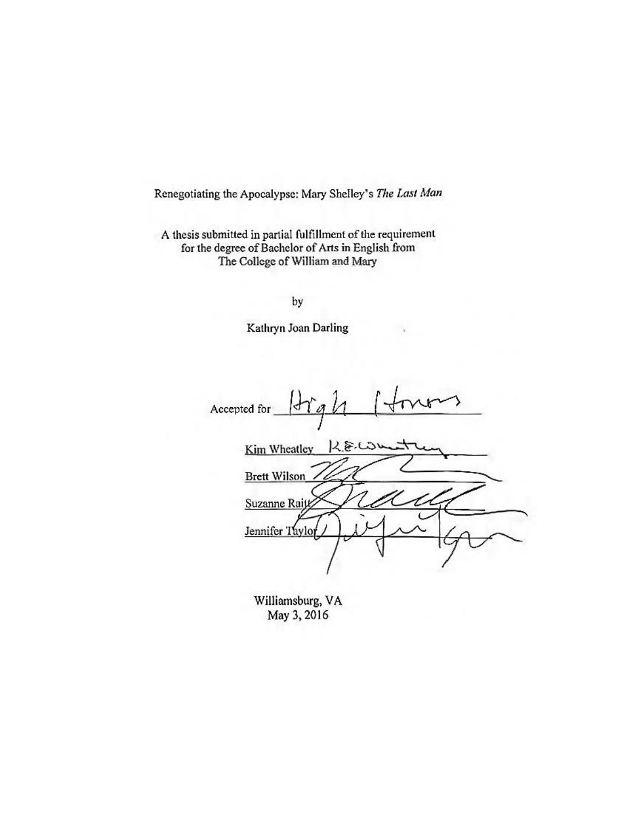Renegotiating the Apocalypse: Mary Shelley's The Last Man

A thesis submitted in partial fulfillment of the requirement for the degree of Bachelor of Arts in English from The College of William and Mary

by

Kathryn Joan Darling

Accepted for ď  $42.810$ Kim Wheatley **Brett Wilson** Suzanne Rait Jennifer Taylor

Williamsburg, VA May 3, 2016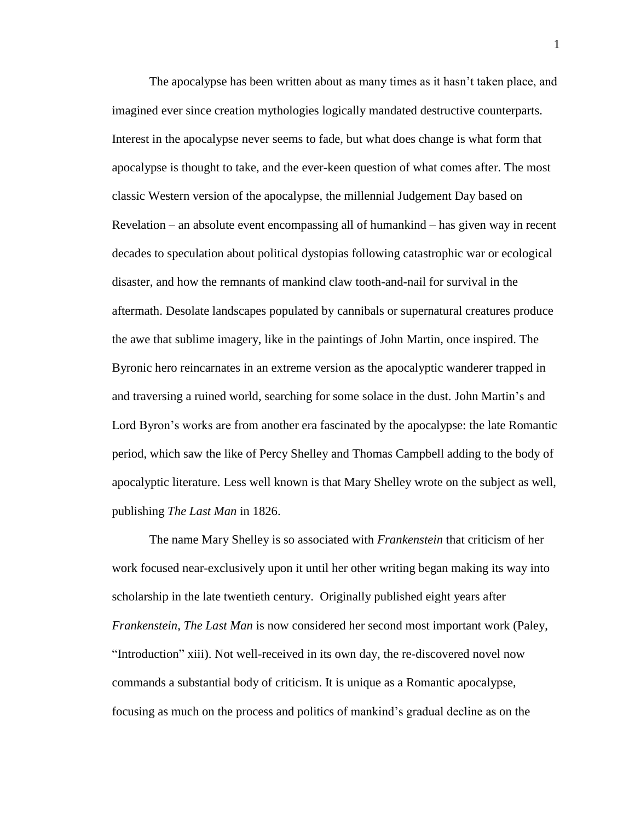The apocalypse has been written about as many times as it hasn't taken place, and imagined ever since creation mythologies logically mandated destructive counterparts. Interest in the apocalypse never seems to fade, but what does change is what form that apocalypse is thought to take, and the ever-keen question of what comes after. The most classic Western version of the apocalypse, the millennial Judgement Day based on Revelation – an absolute event encompassing all of humankind – has given way in recent decades to speculation about political dystopias following catastrophic war or ecological disaster, and how the remnants of mankind claw tooth-and-nail for survival in the aftermath. Desolate landscapes populated by cannibals or supernatural creatures produce the awe that sublime imagery, like in the paintings of John Martin, once inspired. The Byronic hero reincarnates in an extreme version as the apocalyptic wanderer trapped in and traversing a ruined world, searching for some solace in the dust. John Martin's and Lord Byron's works are from another era fascinated by the apocalypse: the late Romantic period, which saw the like of Percy Shelley and Thomas Campbell adding to the body of apocalyptic literature. Less well known is that Mary Shelley wrote on the subject as well, publishing *The Last Man* in 1826.

The name Mary Shelley is so associated with *Frankenstein* that criticism of her work focused near-exclusively upon it until her other writing began making its way into scholarship in the late twentieth century. Originally published eight years after *Frankenstein*, *The Last Man* is now considered her second most important work (Paley, "Introduction" xiii). Not well-received in its own day, the re-discovered novel now commands a substantial body of criticism. It is unique as a Romantic apocalypse, focusing as much on the process and politics of mankind's gradual decline as on the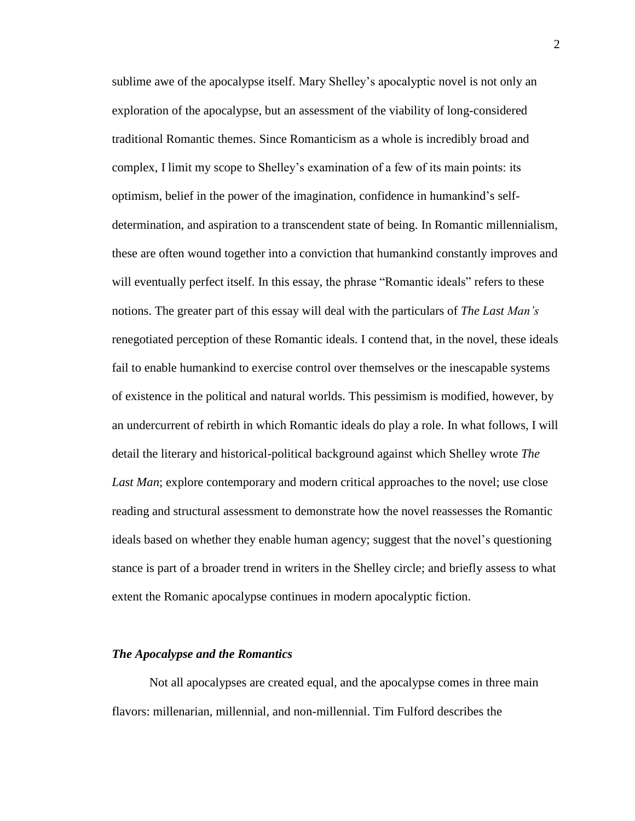sublime awe of the apocalypse itself. Mary Shelley's apocalyptic novel is not only an exploration of the apocalypse, but an assessment of the viability of long-considered traditional Romantic themes. Since Romanticism as a whole is incredibly broad and complex, I limit my scope to Shelley's examination of a few of its main points: its optimism, belief in the power of the imagination, confidence in humankind's selfdetermination, and aspiration to a transcendent state of being. In Romantic millennialism, these are often wound together into a conviction that humankind constantly improves and will eventually perfect itself. In this essay, the phrase "Romantic ideals" refers to these notions. The greater part of this essay will deal with the particulars of *The Last Man's* renegotiated perception of these Romantic ideals. I contend that, in the novel, these ideals fail to enable humankind to exercise control over themselves or the inescapable systems of existence in the political and natural worlds. This pessimism is modified, however, by an undercurrent of rebirth in which Romantic ideals do play a role. In what follows, I will detail the literary and historical-political background against which Shelley wrote *The*  Last Man; explore contemporary and modern critical approaches to the novel; use close reading and structural assessment to demonstrate how the novel reassesses the Romantic ideals based on whether they enable human agency; suggest that the novel's questioning stance is part of a broader trend in writers in the Shelley circle; and briefly assess to what extent the Romanic apocalypse continues in modern apocalyptic fiction.

#### *The Apocalypse and the Romantics*

Not all apocalypses are created equal, and the apocalypse comes in three main flavors: millenarian, millennial, and non-millennial. Tim Fulford describes the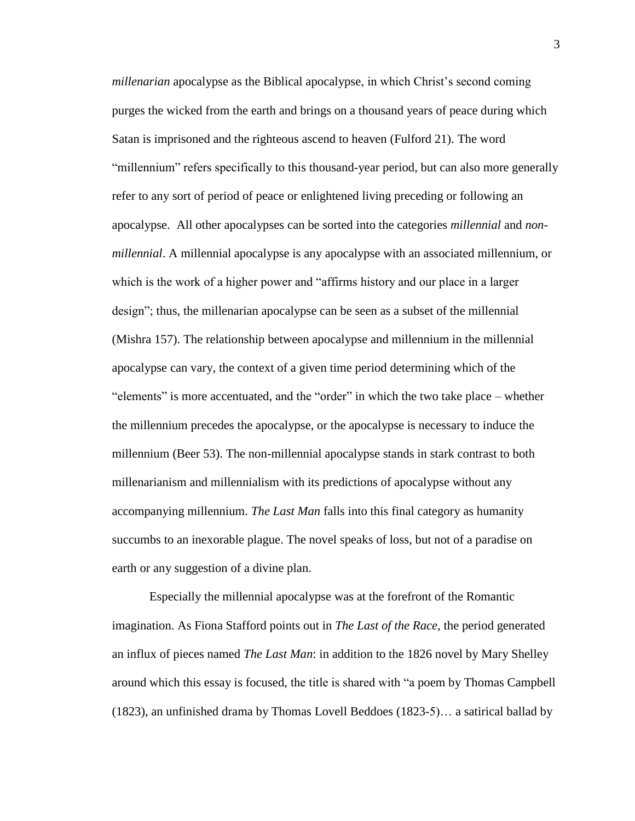*millenarian* apocalypse as the Biblical apocalypse, in which Christ's second coming purges the wicked from the earth and brings on a thousand years of peace during which Satan is imprisoned and the righteous ascend to heaven (Fulford 21). The word "millennium" refers specifically to this thousand-year period, but can also more generally refer to any sort of period of peace or enlightened living preceding or following an apocalypse. All other apocalypses can be sorted into the categories *millennial* and *nonmillennial*. A millennial apocalypse is any apocalypse with an associated millennium, or which is the work of a higher power and "affirms history and our place in a larger design"; thus, the millenarian apocalypse can be seen as a subset of the millennial (Mishra 157). The relationship between apocalypse and millennium in the millennial apocalypse can vary, the context of a given time period determining which of the "elements" is more accentuated, and the "order" in which the two take place – whether the millennium precedes the apocalypse, or the apocalypse is necessary to induce the millennium (Beer 53). The non-millennial apocalypse stands in stark contrast to both millenarianism and millennialism with its predictions of apocalypse without any accompanying millennium. *The Last Man* falls into this final category as humanity succumbs to an inexorable plague. The novel speaks of loss, but not of a paradise on earth or any suggestion of a divine plan.

Especially the millennial apocalypse was at the forefront of the Romantic imagination. As Fiona Stafford points out in *The Last of the Race*, the period generated an influx of pieces named *The Last Man*: in addition to the 1826 novel by Mary Shelley around which this essay is focused, the title is shared with "a poem by Thomas Campbell (1823), an unfinished drama by Thomas Lovell Beddoes (1823-5)… a satirical ballad by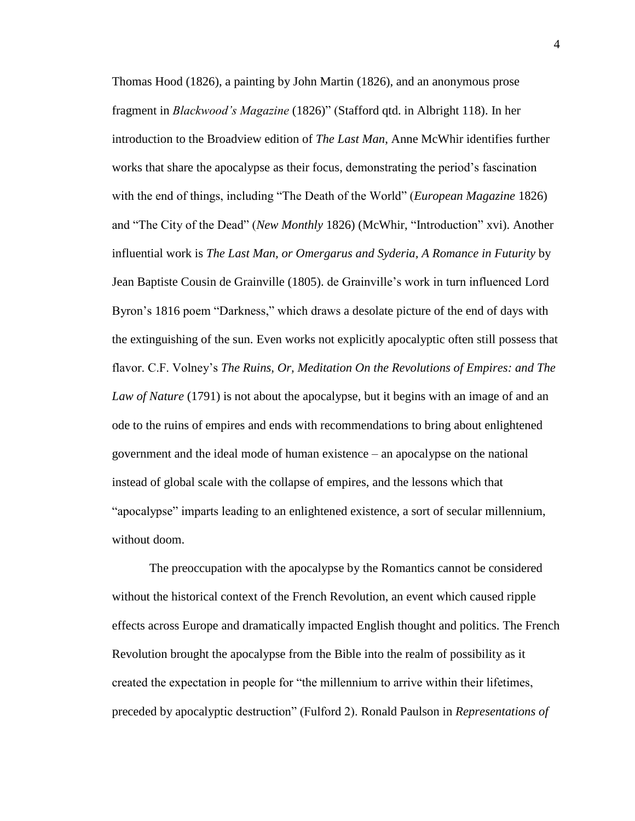Thomas Hood (1826), a painting by John Martin (1826), and an anonymous prose fragment in *Blackwood's Magazine* (1826)" (Stafford qtd. in Albright 118). In her introduction to the Broadview edition of *The Last Man*, Anne McWhir identifies further works that share the apocalypse as their focus, demonstrating the period's fascination with the end of things, including "The Death of the World" (*European Magazine* 1826) and "The City of the Dead" (*New Monthly* 1826) (McWhir, "Introduction" xvi). Another influential work is *The Last Man, or Omergarus and Syderia, A Romance in Futurity* by Jean Baptiste Cousin de Grainville (1805). de Grainville's work in turn influenced Lord Byron's 1816 poem "Darkness," which draws a desolate picture of the end of days with the extinguishing of the sun. Even works not explicitly apocalyptic often still possess that flavor. C.F. Volney's *The Ruins, Or, Meditation On the Revolutions of Empires: and The Law of Nature* (1791) is not about the apocalypse, but it begins with an image of and an ode to the ruins of empires and ends with recommendations to bring about enlightened government and the ideal mode of human existence – an apocalypse on the national instead of global scale with the collapse of empires, and the lessons which that "apocalypse" imparts leading to an enlightened existence, a sort of secular millennium, without doom.

The preoccupation with the apocalypse by the Romantics cannot be considered without the historical context of the French Revolution, an event which caused ripple effects across Europe and dramatically impacted English thought and politics. The French Revolution brought the apocalypse from the Bible into the realm of possibility as it created the expectation in people for "the millennium to arrive within their lifetimes, preceded by apocalyptic destruction" (Fulford 2). Ronald Paulson in *Representations of*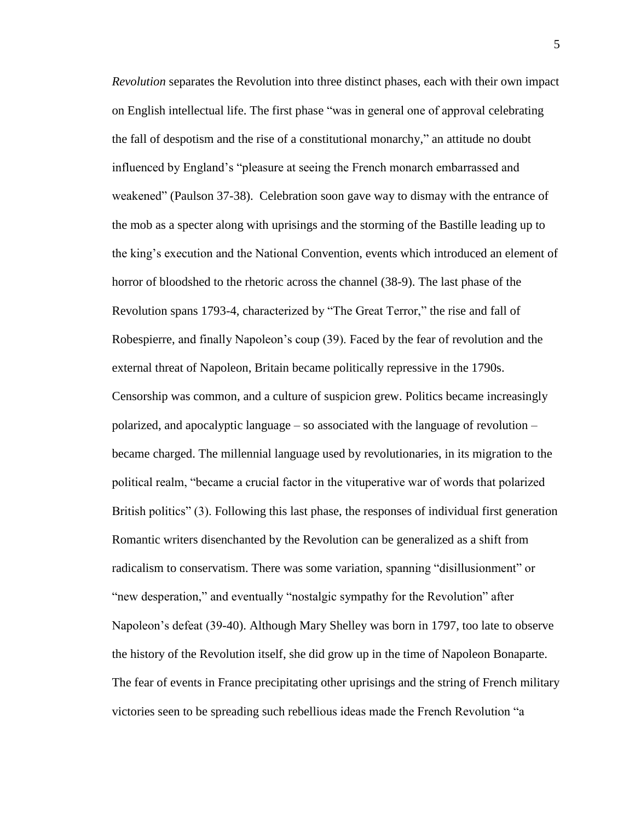*Revolution* separates the Revolution into three distinct phases, each with their own impact on English intellectual life. The first phase "was in general one of approval celebrating the fall of despotism and the rise of a constitutional monarchy," an attitude no doubt influenced by England's "pleasure at seeing the French monarch embarrassed and weakened" (Paulson 37-38). Celebration soon gave way to dismay with the entrance of the mob as a specter along with uprisings and the storming of the Bastille leading up to the king's execution and the National Convention, events which introduced an element of horror of bloodshed to the rhetoric across the channel (38-9). The last phase of the Revolution spans 1793-4, characterized by "The Great Terror," the rise and fall of Robespierre, and finally Napoleon's coup (39). Faced by the fear of revolution and the external threat of Napoleon, Britain became politically repressive in the 1790s. Censorship was common, and a culture of suspicion grew. Politics became increasingly polarized, and apocalyptic language – so associated with the language of revolution – became charged. The millennial language used by revolutionaries, in its migration to the political realm, "became a crucial factor in the vituperative war of words that polarized British politics" (3). Following this last phase, the responses of individual first generation Romantic writers disenchanted by the Revolution can be generalized as a shift from radicalism to conservatism. There was some variation, spanning "disillusionment" or "new desperation," and eventually "nostalgic sympathy for the Revolution" after Napoleon's defeat (39-40). Although Mary Shelley was born in 1797, too late to observe the history of the Revolution itself, she did grow up in the time of Napoleon Bonaparte. The fear of events in France precipitating other uprisings and the string of French military victories seen to be spreading such rebellious ideas made the French Revolution "a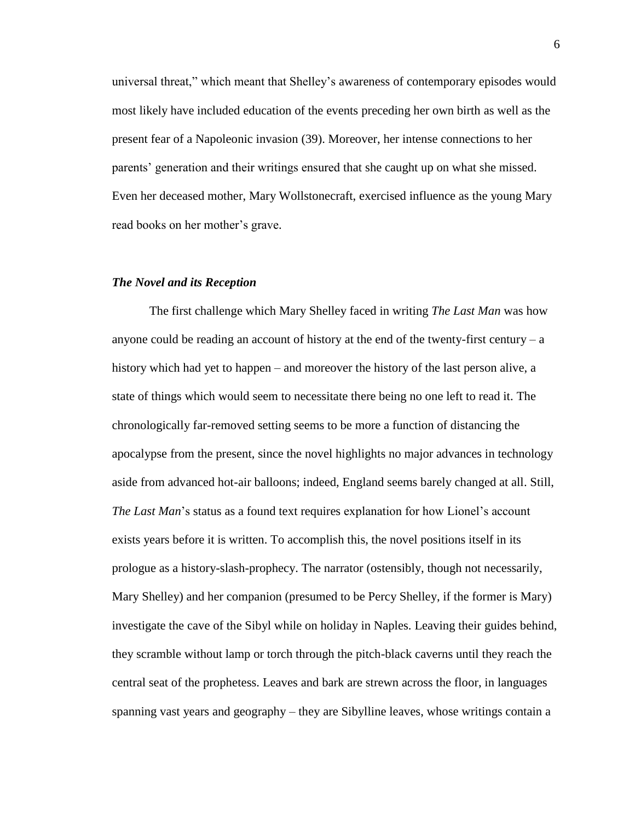universal threat," which meant that Shelley's awareness of contemporary episodes would most likely have included education of the events preceding her own birth as well as the present fear of a Napoleonic invasion (39). Moreover, her intense connections to her parents' generation and their writings ensured that she caught up on what she missed. Even her deceased mother, Mary Wollstonecraft, exercised influence as the young Mary read books on her mother's grave.

#### *The Novel and its Reception*

The first challenge which Mary Shelley faced in writing *The Last Man* was how anyone could be reading an account of history at the end of the twenty-first century  $-a$ history which had yet to happen – and moreover the history of the last person alive, a state of things which would seem to necessitate there being no one left to read it. The chronologically far-removed setting seems to be more a function of distancing the apocalypse from the present, since the novel highlights no major advances in technology aside from advanced hot-air balloons; indeed, England seems barely changed at all. Still, *The Last Man*'s status as a found text requires explanation for how Lionel's account exists years before it is written. To accomplish this, the novel positions itself in its prologue as a history-slash-prophecy. The narrator (ostensibly, though not necessarily, Mary Shelley) and her companion (presumed to be Percy Shelley, if the former is Mary) investigate the cave of the Sibyl while on holiday in Naples. Leaving their guides behind, they scramble without lamp or torch through the pitch-black caverns until they reach the central seat of the prophetess. Leaves and bark are strewn across the floor, in languages spanning vast years and geography – they are Sibylline leaves, whose writings contain a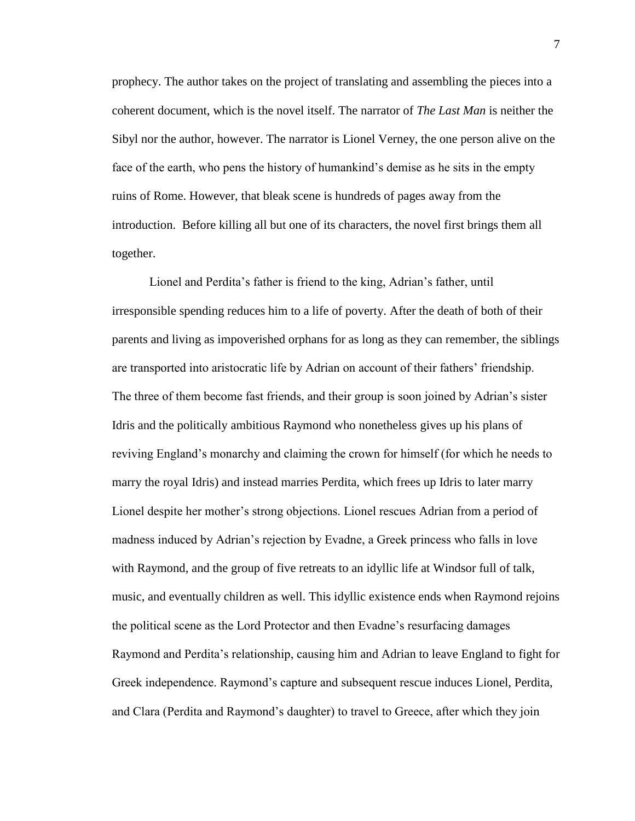prophecy. The author takes on the project of translating and assembling the pieces into a coherent document, which is the novel itself. The narrator of *The Last Man* is neither the Sibyl nor the author, however. The narrator is Lionel Verney, the one person alive on the face of the earth, who pens the history of humankind's demise as he sits in the empty ruins of Rome. However, that bleak scene is hundreds of pages away from the introduction. Before killing all but one of its characters, the novel first brings them all together.

Lionel and Perdita's father is friend to the king, Adrian's father, until irresponsible spending reduces him to a life of poverty. After the death of both of their parents and living as impoverished orphans for as long as they can remember, the siblings are transported into aristocratic life by Adrian on account of their fathers' friendship. The three of them become fast friends, and their group is soon joined by Adrian's sister Idris and the politically ambitious Raymond who nonetheless gives up his plans of reviving England's monarchy and claiming the crown for himself (for which he needs to marry the royal Idris) and instead marries Perdita, which frees up Idris to later marry Lionel despite her mother's strong objections. Lionel rescues Adrian from a period of madness induced by Adrian's rejection by Evadne, a Greek princess who falls in love with Raymond, and the group of five retreats to an idyllic life at Windsor full of talk, music, and eventually children as well. This idyllic existence ends when Raymond rejoins the political scene as the Lord Protector and then Evadne's resurfacing damages Raymond and Perdita's relationship, causing him and Adrian to leave England to fight for Greek independence. Raymond's capture and subsequent rescue induces Lionel, Perdita, and Clara (Perdita and Raymond's daughter) to travel to Greece, after which they join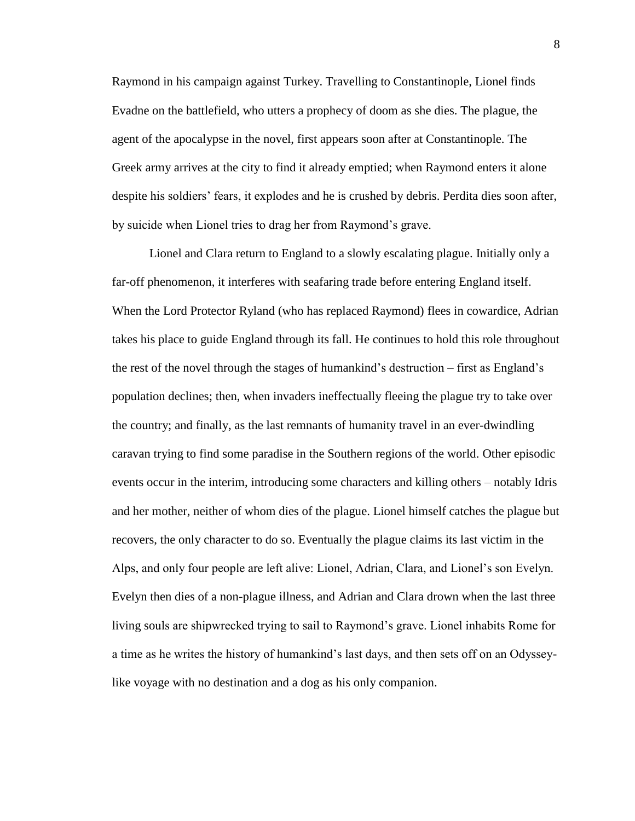Raymond in his campaign against Turkey. Travelling to Constantinople, Lionel finds Evadne on the battlefield, who utters a prophecy of doom as she dies. The plague, the agent of the apocalypse in the novel, first appears soon after at Constantinople. The Greek army arrives at the city to find it already emptied; when Raymond enters it alone despite his soldiers' fears, it explodes and he is crushed by debris. Perdita dies soon after, by suicide when Lionel tries to drag her from Raymond's grave.

Lionel and Clara return to England to a slowly escalating plague. Initially only a far-off phenomenon, it interferes with seafaring trade before entering England itself. When the Lord Protector Ryland (who has replaced Raymond) flees in cowardice, Adrian takes his place to guide England through its fall. He continues to hold this role throughout the rest of the novel through the stages of humankind's destruction – first as England's population declines; then, when invaders ineffectually fleeing the plague try to take over the country; and finally, as the last remnants of humanity travel in an ever-dwindling caravan trying to find some paradise in the Southern regions of the world. Other episodic events occur in the interim, introducing some characters and killing others – notably Idris and her mother, neither of whom dies of the plague. Lionel himself catches the plague but recovers, the only character to do so. Eventually the plague claims its last victim in the Alps, and only four people are left alive: Lionel, Adrian, Clara, and Lionel's son Evelyn. Evelyn then dies of a non-plague illness, and Adrian and Clara drown when the last three living souls are shipwrecked trying to sail to Raymond's grave. Lionel inhabits Rome for a time as he writes the history of humankind's last days, and then sets off on an Odysseylike voyage with no destination and a dog as his only companion.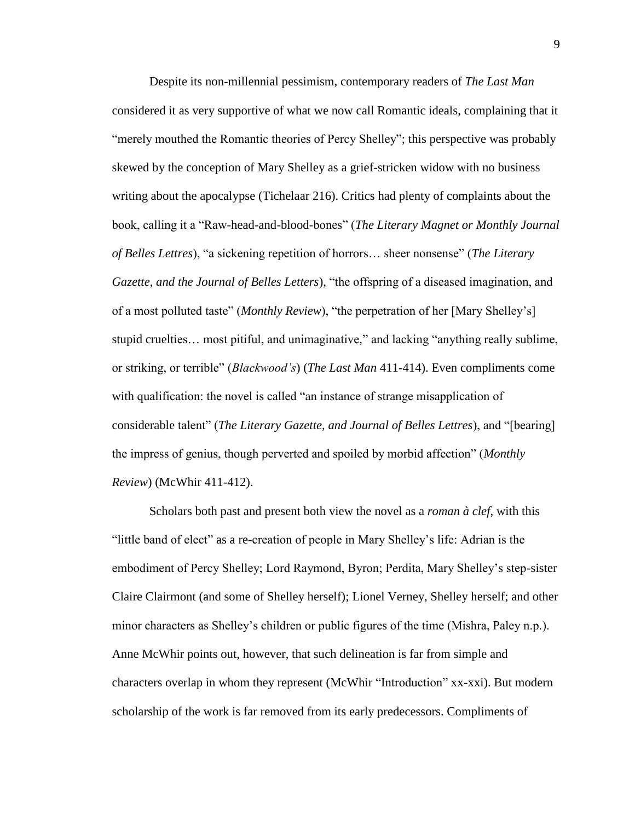Despite its non-millennial pessimism, contemporary readers of *The Last Man* considered it as very supportive of what we now call Romantic ideals, complaining that it "merely mouthed the Romantic theories of Percy Shelley"; this perspective was probably skewed by the conception of Mary Shelley as a grief-stricken widow with no business writing about the apocalypse (Tichelaar 216). Critics had plenty of complaints about the book, calling it a "Raw-head-and-blood-bones" (*The Literary Magnet or Monthly Journal of Belles Lettres*), "a sickening repetition of horrors… sheer nonsense" (*The Literary Gazette, and the Journal of Belles Letters*), "the offspring of a diseased imagination, and of a most polluted taste" (*Monthly Review*), "the perpetration of her [Mary Shelley's] stupid cruelties… most pitiful, and unimaginative," and lacking "anything really sublime, or striking, or terrible" (*Blackwood's*) (*The Last Man* 411-414). Even compliments come with qualification: the novel is called "an instance of strange misapplication of considerable talent" (*The Literary Gazette, and Journal of Belles Lettres*), and "[bearing] the impress of genius, though perverted and spoiled by morbid affection" (*Monthly Review*) (McWhir 411-412).

Scholars both past and present both view the novel as a *roman à clef*, with this "little band of elect" as a re-creation of people in Mary Shelley's life: Adrian is the embodiment of Percy Shelley; Lord Raymond, Byron; Perdita, Mary Shelley's step-sister Claire Clairmont (and some of Shelley herself); Lionel Verney, Shelley herself; and other minor characters as Shelley's children or public figures of the time (Mishra, Paley n.p.). Anne McWhir points out, however, that such delineation is far from simple and characters overlap in whom they represent (McWhir "Introduction" xx-xxi). But modern scholarship of the work is far removed from its early predecessors. Compliments of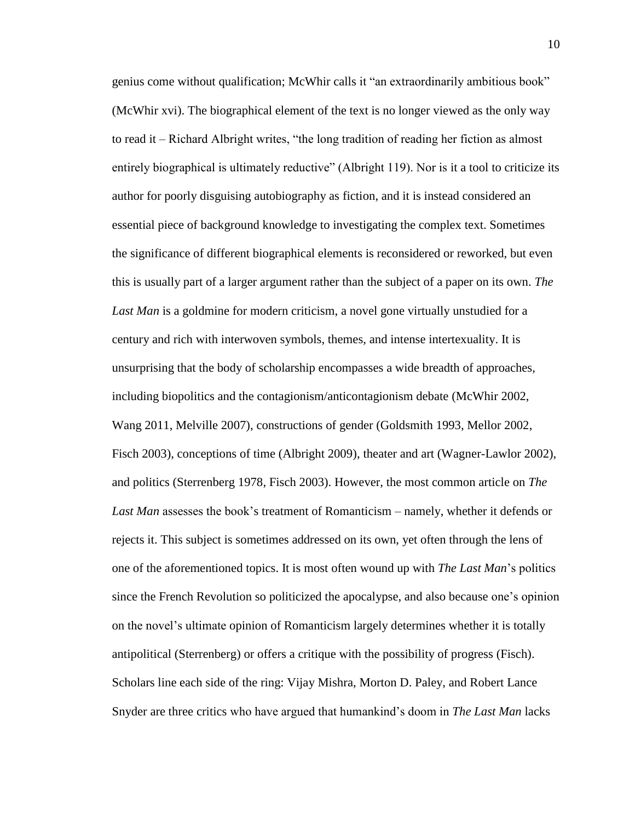genius come without qualification; McWhir calls it "an extraordinarily ambitious book" (McWhir xvi). The biographical element of the text is no longer viewed as the only way to read it – Richard Albright writes, "the long tradition of reading her fiction as almost entirely biographical is ultimately reductive" (Albright 119). Nor is it a tool to criticize its author for poorly disguising autobiography as fiction, and it is instead considered an essential piece of background knowledge to investigating the complex text. Sometimes the significance of different biographical elements is reconsidered or reworked, but even this is usually part of a larger argument rather than the subject of a paper on its own. *The Last Man* is a goldmine for modern criticism, a novel gone virtually unstudied for a century and rich with interwoven symbols, themes, and intense intertexuality. It is unsurprising that the body of scholarship encompasses a wide breadth of approaches, including biopolitics and the contagionism/anticontagionism debate (McWhir 2002, Wang 2011, Melville 2007), constructions of gender (Goldsmith 1993, Mellor 2002, Fisch 2003), conceptions of time (Albright 2009), theater and art (Wagner-Lawlor 2002), and politics (Sterrenberg 1978, Fisch 2003). However, the most common article on *The Last Man* assesses the book's treatment of Romanticism – namely, whether it defends or rejects it. This subject is sometimes addressed on its own, yet often through the lens of one of the aforementioned topics. It is most often wound up with *The Last Man*'s politics since the French Revolution so politicized the apocalypse, and also because one's opinion on the novel's ultimate opinion of Romanticism largely determines whether it is totally antipolitical (Sterrenberg) or offers a critique with the possibility of progress (Fisch). Scholars line each side of the ring: Vijay Mishra, Morton D. Paley, and Robert Lance Snyder are three critics who have argued that humankind's doom in *The Last Man* lacks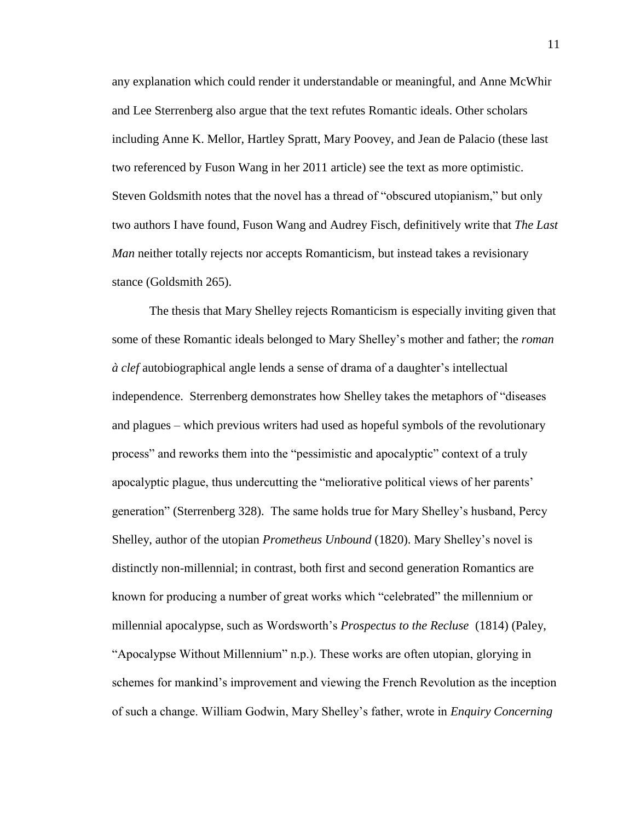any explanation which could render it understandable or meaningful, and Anne McWhir and Lee Sterrenberg also argue that the text refutes Romantic ideals. Other scholars including Anne K. Mellor, Hartley Spratt, Mary Poovey, and Jean de Palacio (these last two referenced by Fuson Wang in her 2011 article) see the text as more optimistic. Steven Goldsmith notes that the novel has a thread of "obscured utopianism," but only two authors I have found, Fuson Wang and Audrey Fisch, definitively write that *The Last Man* neither totally rejects nor accepts Romanticism, but instead takes a revisionary stance (Goldsmith 265).

The thesis that Mary Shelley rejects Romanticism is especially inviting given that some of these Romantic ideals belonged to Mary Shelley's mother and father; the *roman à clef* autobiographical angle lends a sense of drama of a daughter's intellectual independence. Sterrenberg demonstrates how Shelley takes the metaphors of "diseases and plagues – which previous writers had used as hopeful symbols of the revolutionary process" and reworks them into the "pessimistic and apocalyptic" context of a truly apocalyptic plague, thus undercutting the "meliorative political views of her parents' generation" (Sterrenberg 328). The same holds true for Mary Shelley's husband, Percy Shelley, author of the utopian *Prometheus Unbound* (1820). Mary Shelley's novel is distinctly non-millennial; in contrast, both first and second generation Romantics are known for producing a number of great works which "celebrated" the millennium or millennial apocalypse, such as Wordsworth's *Prospectus to the Recluse* (1814) (Paley, "Apocalypse Without Millennium" n.p.). These works are often utopian, glorying in schemes for mankind's improvement and viewing the French Revolution as the inception of such a change. William Godwin, Mary Shelley's father, wrote in *Enquiry Concerning*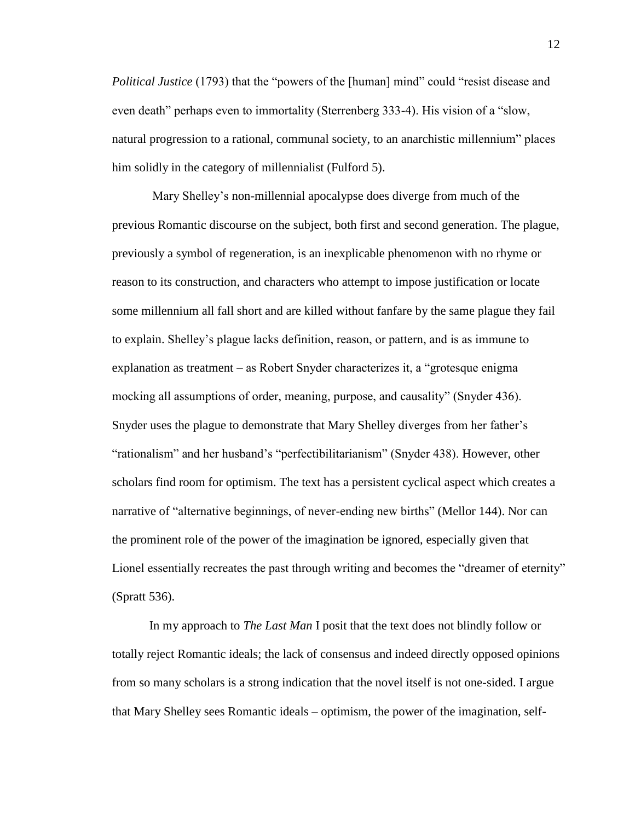*Political Justice* (1793) that the "powers of the [human] mind" could "resist disease and even death" perhaps even to immortality (Sterrenberg 333-4). His vision of a "slow, natural progression to a rational, communal society, to an anarchistic millennium" places him solidly in the category of millennialist (Fulford 5).

Mary Shelley's non-millennial apocalypse does diverge from much of the previous Romantic discourse on the subject, both first and second generation. The plague, previously a symbol of regeneration, is an inexplicable phenomenon with no rhyme or reason to its construction, and characters who attempt to impose justification or locate some millennium all fall short and are killed without fanfare by the same plague they fail to explain. Shelley's plague lacks definition, reason, or pattern, and is as immune to explanation as treatment – as Robert Snyder characterizes it, a "grotesque enigma mocking all assumptions of order, meaning, purpose, and causality" (Snyder 436). Snyder uses the plague to demonstrate that Mary Shelley diverges from her father's "rationalism" and her husband's "perfectibilitarianism" (Snyder 438). However, other scholars find room for optimism. The text has a persistent cyclical aspect which creates a narrative of "alternative beginnings, of never-ending new births" (Mellor 144). Nor can the prominent role of the power of the imagination be ignored, especially given that Lionel essentially recreates the past through writing and becomes the "dreamer of eternity" (Spratt 536).

In my approach to *The Last Man* I posit that the text does not blindly follow or totally reject Romantic ideals; the lack of consensus and indeed directly opposed opinions from so many scholars is a strong indication that the novel itself is not one-sided. I argue that Mary Shelley sees Romantic ideals – optimism, the power of the imagination, self-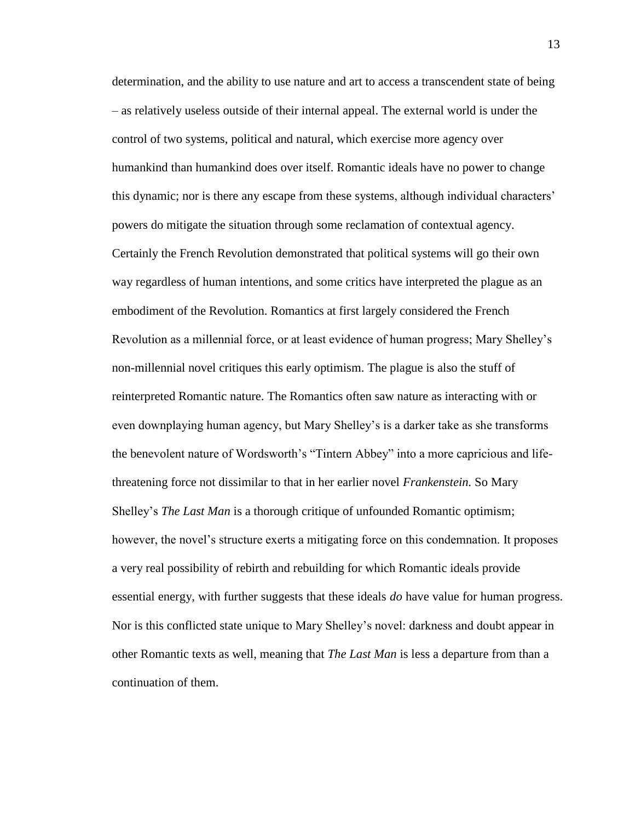determination, and the ability to use nature and art to access a transcendent state of being – as relatively useless outside of their internal appeal. The external world is under the control of two systems, political and natural, which exercise more agency over humankind than humankind does over itself. Romantic ideals have no power to change this dynamic; nor is there any escape from these systems, although individual characters' powers do mitigate the situation through some reclamation of contextual agency. Certainly the French Revolution demonstrated that political systems will go their own way regardless of human intentions, and some critics have interpreted the plague as an embodiment of the Revolution. Romantics at first largely considered the French Revolution as a millennial force, or at least evidence of human progress; Mary Shelley's non-millennial novel critiques this early optimism. The plague is also the stuff of reinterpreted Romantic nature. The Romantics often saw nature as interacting with or even downplaying human agency, but Mary Shelley's is a darker take as she transforms the benevolent nature of Wordsworth's "Tintern Abbey" into a more capricious and lifethreatening force not dissimilar to that in her earlier novel *Frankenstein.* So Mary Shelley's *The Last Man* is a thorough critique of unfounded Romantic optimism; however, the novel's structure exerts a mitigating force on this condemnation. It proposes a very real possibility of rebirth and rebuilding for which Romantic ideals provide essential energy, with further suggests that these ideals *do* have value for human progress. Nor is this conflicted state unique to Mary Shelley's novel: darkness and doubt appear in other Romantic texts as well, meaning that *The Last Man* is less a departure from than a continuation of them.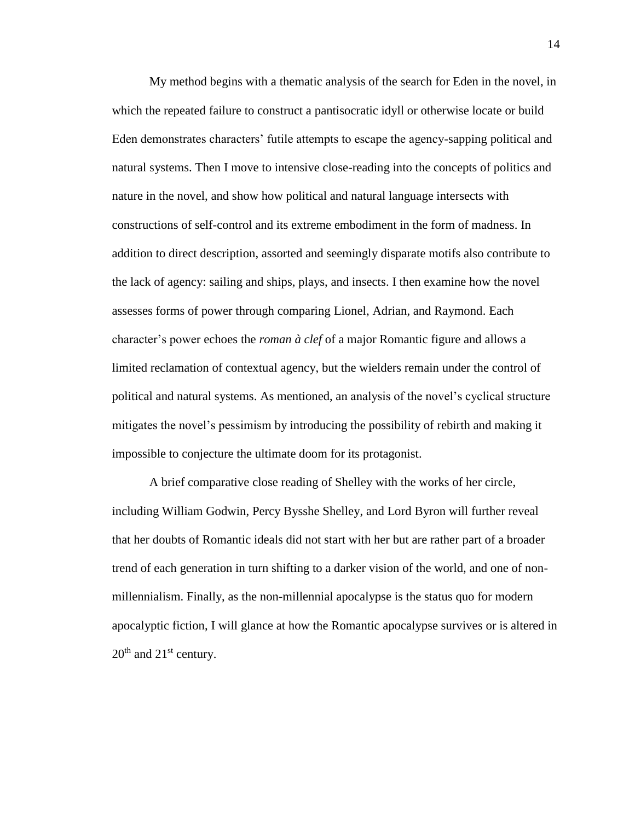My method begins with a thematic analysis of the search for Eden in the novel, in which the repeated failure to construct a pantisocratic idyll or otherwise locate or build Eden demonstrates characters' futile attempts to escape the agency-sapping political and natural systems. Then I move to intensive close-reading into the concepts of politics and nature in the novel, and show how political and natural language intersects with constructions of self-control and its extreme embodiment in the form of madness. In addition to direct description, assorted and seemingly disparate motifs also contribute to the lack of agency: sailing and ships, plays, and insects. I then examine how the novel assesses forms of power through comparing Lionel, Adrian, and Raymond. Each character's power echoes the *roman à clef* of a major Romantic figure and allows a limited reclamation of contextual agency, but the wielders remain under the control of political and natural systems. As mentioned, an analysis of the novel's cyclical structure mitigates the novel's pessimism by introducing the possibility of rebirth and making it impossible to conjecture the ultimate doom for its protagonist.

A brief comparative close reading of Shelley with the works of her circle, including William Godwin, Percy Bysshe Shelley, and Lord Byron will further reveal that her doubts of Romantic ideals did not start with her but are rather part of a broader trend of each generation in turn shifting to a darker vision of the world, and one of nonmillennialism. Finally, as the non-millennial apocalypse is the status quo for modern apocalyptic fiction, I will glance at how the Romantic apocalypse survives or is altered in  $20<sup>th</sup>$  and  $21<sup>st</sup>$  century.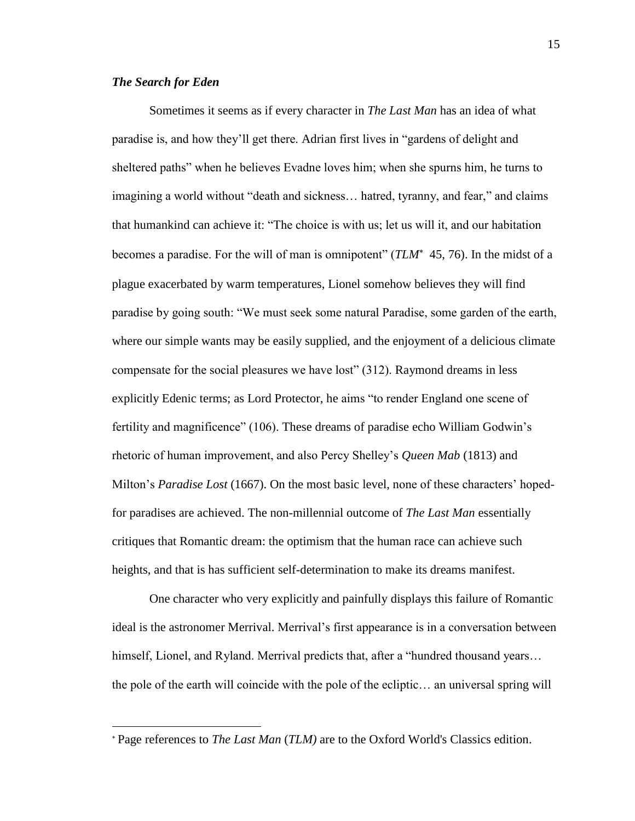# *The Search for Eden*

 $\overline{\phantom{a}}$ 

Sometimes it seems as if every character in *The Last Man* has an idea of what paradise is, and how they'll get there. Adrian first lives in "gardens of delight and sheltered paths" when he believes Evadne loves him; when she spurns him, he turns to imagining a world without "death and sickness… hatred, tyranny, and fear," and claims that humankind can achieve it: "The choice is with us; let us will it, and our habitation becomes a paradise. For the will of man is omnipotent" (*TLM*<sup>\*</sup> 45, 76). In the midst of a plague exacerbated by warm temperatures, Lionel somehow believes they will find paradise by going south: "We must seek some natural Paradise, some garden of the earth, where our simple wants may be easily supplied, and the enjoyment of a delicious climate compensate for the social pleasures we have lost" (312). Raymond dreams in less explicitly Edenic terms; as Lord Protector, he aims "to render England one scene of fertility and magnificence" (106). These dreams of paradise echo William Godwin's rhetoric of human improvement, and also Percy Shelley's *Queen Mab* (1813) and Milton's *Paradise Lost* (1667). On the most basic level, none of these characters' hopedfor paradises are achieved. The non-millennial outcome of *The Last Man* essentially critiques that Romantic dream: the optimism that the human race can achieve such heights, and that is has sufficient self-determination to make its dreams manifest.

One character who very explicitly and painfully displays this failure of Romantic ideal is the astronomer Merrival. Merrival's first appearance is in a conversation between himself, Lionel, and Ryland. Merrival predicts that, after a "hundred thousand years… the pole of the earth will coincide with the pole of the ecliptic… an universal spring will

Page references to *The Last Man* (*TLM)* are to the Oxford World's Classics edition.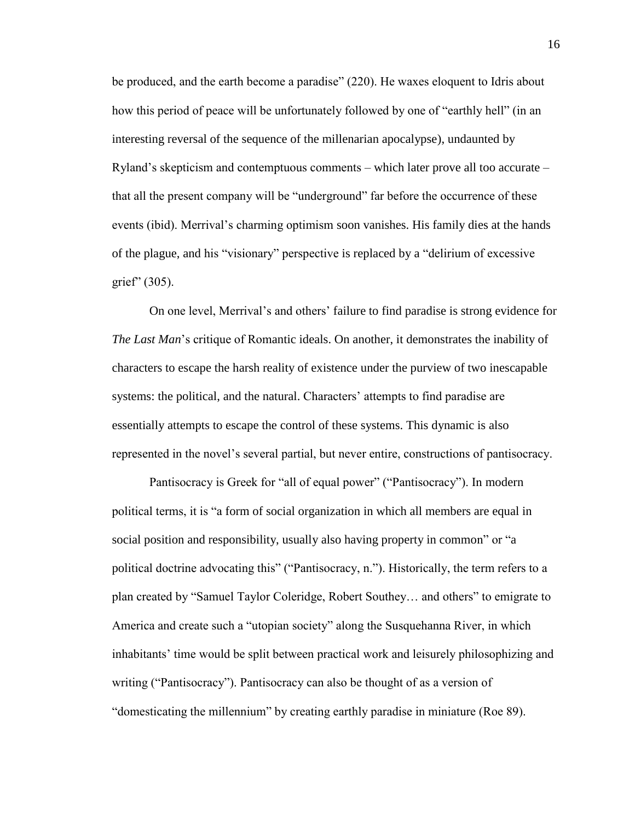be produced, and the earth become a paradise" (220). He waxes eloquent to Idris about how this period of peace will be unfortunately followed by one of "earthly hell" (in an interesting reversal of the sequence of the millenarian apocalypse), undaunted by Ryland's skepticism and contemptuous comments – which later prove all too accurate – that all the present company will be "underground" far before the occurrence of these events (ibid). Merrival's charming optimism soon vanishes. His family dies at the hands of the plague, and his "visionary" perspective is replaced by a "delirium of excessive grief" (305).

On one level, Merrival's and others' failure to find paradise is strong evidence for *The Last Man*'s critique of Romantic ideals. On another, it demonstrates the inability of characters to escape the harsh reality of existence under the purview of two inescapable systems: the political, and the natural. Characters' attempts to find paradise are essentially attempts to escape the control of these systems. This dynamic is also represented in the novel's several partial, but never entire, constructions of pantisocracy.

Pantisocracy is Greek for "all of equal power" ("Pantisocracy"). In modern political terms, it is "a form of social organization in which all members are equal in social position and responsibility, usually also having property in common" or "a political doctrine advocating this" ("Pantisocracy, n."). Historically, the term refers to a plan created by "Samuel Taylor Coleridge, Robert Southey… and others" to emigrate to America and create such a "utopian society" along the Susquehanna River, in which inhabitants' time would be split between practical work and leisurely philosophizing and writing ("Pantisocracy"). Pantisocracy can also be thought of as a version of "domesticating the millennium" by creating earthly paradise in miniature (Roe 89).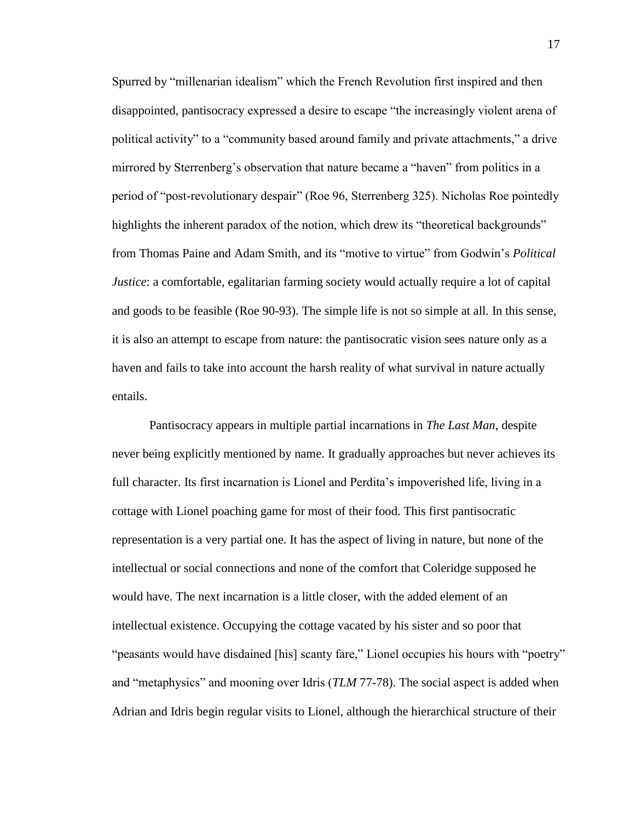Spurred by "millenarian idealism" which the French Revolution first inspired and then disappointed, pantisocracy expressed a desire to escape "the increasingly violent arena of political activity" to a "community based around family and private attachments," a drive mirrored by Sterrenberg's observation that nature became a "haven" from politics in a period of "post-revolutionary despair" (Roe 96, Sterrenberg 325). Nicholas Roe pointedly highlights the inherent paradox of the notion, which drew its "theoretical backgrounds" from Thomas Paine and Adam Smith, and its "motive to virtue" from Godwin's *Political Justice*: a comfortable, egalitarian farming society would actually require a lot of capital and goods to be feasible (Roe 90-93). The simple life is not so simple at all. In this sense, it is also an attempt to escape from nature: the pantisocratic vision sees nature only as a haven and fails to take into account the harsh reality of what survival in nature actually entails.

Pantisocracy appears in multiple partial incarnations in *The Last Man*, despite never being explicitly mentioned by name. It gradually approaches but never achieves its full character. Its first incarnation is Lionel and Perdita's impoverished life, living in a cottage with Lionel poaching game for most of their food. This first pantisocratic representation is a very partial one. It has the aspect of living in nature, but none of the intellectual or social connections and none of the comfort that Coleridge supposed he would have. The next incarnation is a little closer, with the added element of an intellectual existence. Occupying the cottage vacated by his sister and so poor that "peasants would have disdained [his] scanty fare," Lionel occupies his hours with "poetry" and "metaphysics" and mooning over Idris (*TLM* 77-78). The social aspect is added when Adrian and Idris begin regular visits to Lionel, although the hierarchical structure of their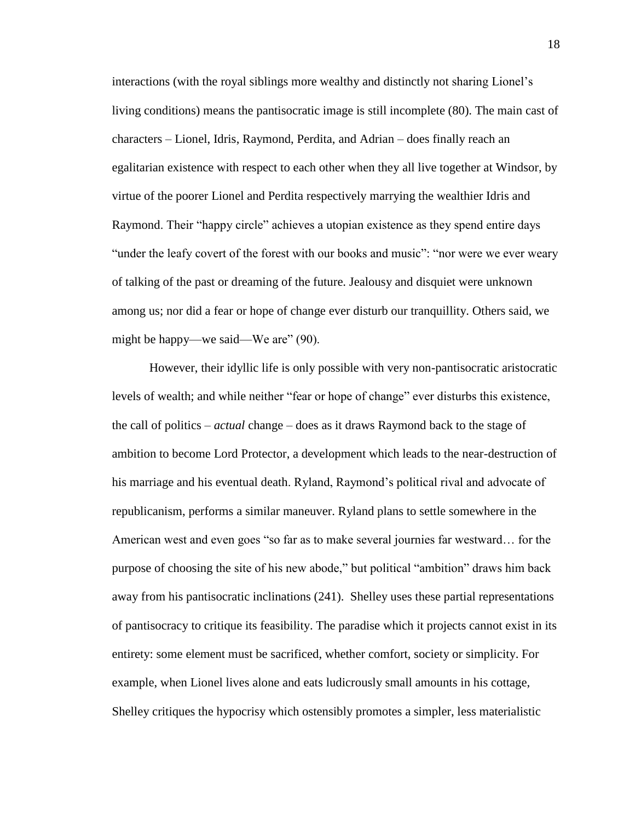interactions (with the royal siblings more wealthy and distinctly not sharing Lionel's living conditions) means the pantisocratic image is still incomplete (80). The main cast of characters – Lionel, Idris, Raymond, Perdita, and Adrian – does finally reach an egalitarian existence with respect to each other when they all live together at Windsor, by virtue of the poorer Lionel and Perdita respectively marrying the wealthier Idris and Raymond. Their "happy circle" achieves a utopian existence as they spend entire days "under the leafy covert of the forest with our books and music": "nor were we ever weary of talking of the past or dreaming of the future. Jealousy and disquiet were unknown among us; nor did a fear or hope of change ever disturb our tranquillity. Others said, we might be happy—we said—We are" (90).

However, their idyllic life is only possible with very non-pantisocratic aristocratic levels of wealth; and while neither "fear or hope of change" ever disturbs this existence, the call of politics – *actual* change – does as it draws Raymond back to the stage of ambition to become Lord Protector, a development which leads to the near-destruction of his marriage and his eventual death. Ryland, Raymond's political rival and advocate of republicanism, performs a similar maneuver. Ryland plans to settle somewhere in the American west and even goes "so far as to make several journies far westward… for the purpose of choosing the site of his new abode," but political "ambition" draws him back away from his pantisocratic inclinations (241). Shelley uses these partial representations of pantisocracy to critique its feasibility. The paradise which it projects cannot exist in its entirety: some element must be sacrificed, whether comfort, society or simplicity. For example, when Lionel lives alone and eats ludicrously small amounts in his cottage, Shelley critiques the hypocrisy which ostensibly promotes a simpler, less materialistic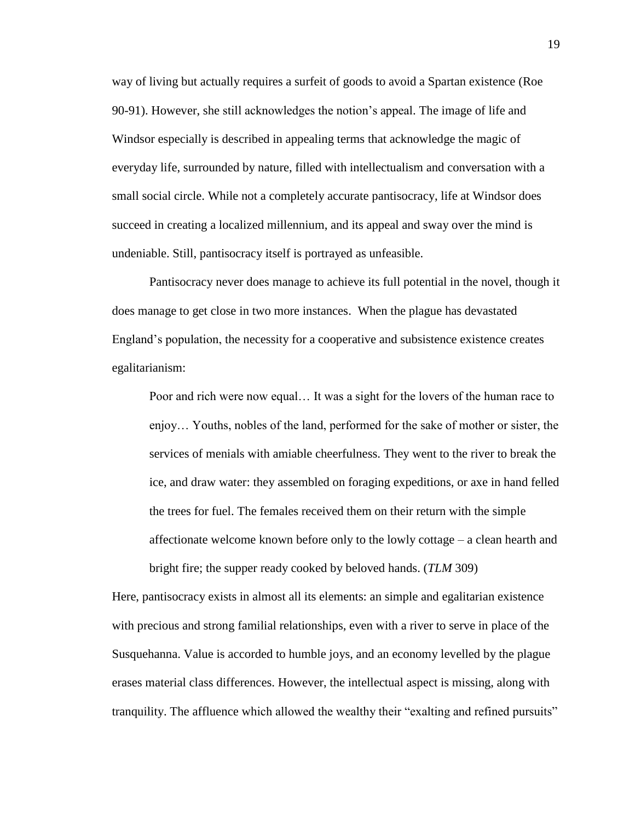way of living but actually requires a surfeit of goods to avoid a Spartan existence (Roe 90-91). However, she still acknowledges the notion's appeal. The image of life and Windsor especially is described in appealing terms that acknowledge the magic of everyday life, surrounded by nature, filled with intellectualism and conversation with a small social circle. While not a completely accurate pantisocracy, life at Windsor does succeed in creating a localized millennium, and its appeal and sway over the mind is undeniable. Still, pantisocracy itself is portrayed as unfeasible.

Pantisocracy never does manage to achieve its full potential in the novel, though it does manage to get close in two more instances. When the plague has devastated England's population, the necessity for a cooperative and subsistence existence creates egalitarianism:

Poor and rich were now equal… It was a sight for the lovers of the human race to enjoy… Youths, nobles of the land, performed for the sake of mother or sister, the services of menials with amiable cheerfulness. They went to the river to break the ice, and draw water: they assembled on foraging expeditions, or axe in hand felled the trees for fuel. The females received them on their return with the simple affectionate welcome known before only to the lowly cottage – a clean hearth and bright fire; the supper ready cooked by beloved hands. (*TLM* 309)

Here, pantisocracy exists in almost all its elements: an simple and egalitarian existence with precious and strong familial relationships, even with a river to serve in place of the Susquehanna. Value is accorded to humble joys, and an economy levelled by the plague erases material class differences. However, the intellectual aspect is missing, along with tranquility. The affluence which allowed the wealthy their "exalting and refined pursuits"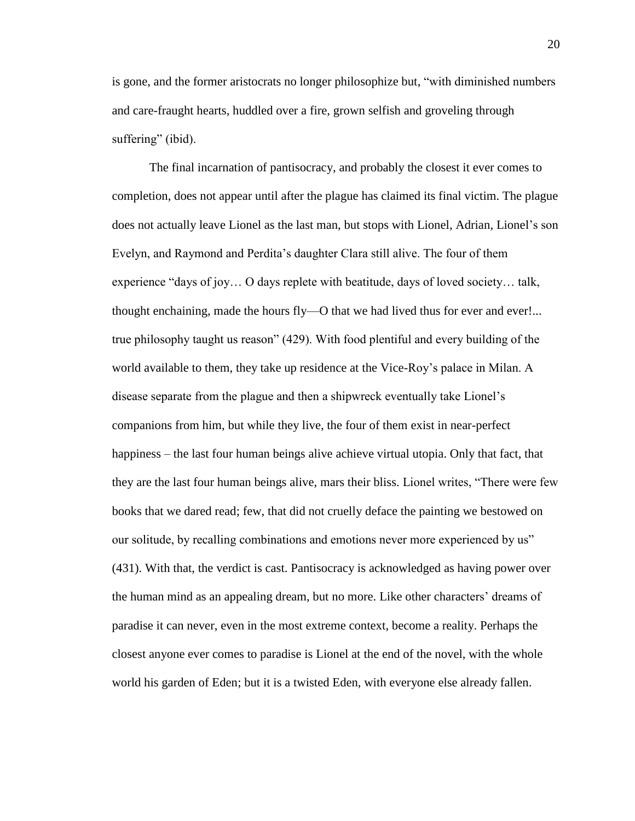is gone, and the former aristocrats no longer philosophize but, "with diminished numbers and care-fraught hearts, huddled over a fire, grown selfish and groveling through suffering" (ibid).

The final incarnation of pantisocracy, and probably the closest it ever comes to completion, does not appear until after the plague has claimed its final victim. The plague does not actually leave Lionel as the last man, but stops with Lionel, Adrian, Lionel's son Evelyn, and Raymond and Perdita's daughter Clara still alive. The four of them experience "days of joy… O days replete with beatitude, days of loved society… talk, thought enchaining, made the hours fly—O that we had lived thus for ever and ever!... true philosophy taught us reason" (429). With food plentiful and every building of the world available to them, they take up residence at the Vice-Roy's palace in Milan. A disease separate from the plague and then a shipwreck eventually take Lionel's companions from him, but while they live, the four of them exist in near-perfect happiness – the last four human beings alive achieve virtual utopia. Only that fact, that they are the last four human beings alive, mars their bliss. Lionel writes, "There were few books that we dared read; few, that did not cruelly deface the painting we bestowed on our solitude, by recalling combinations and emotions never more experienced by us" (431). With that, the verdict is cast. Pantisocracy is acknowledged as having power over the human mind as an appealing dream, but no more. Like other characters' dreams of paradise it can never, even in the most extreme context, become a reality. Perhaps the closest anyone ever comes to paradise is Lionel at the end of the novel, with the whole world his garden of Eden; but it is a twisted Eden, with everyone else already fallen.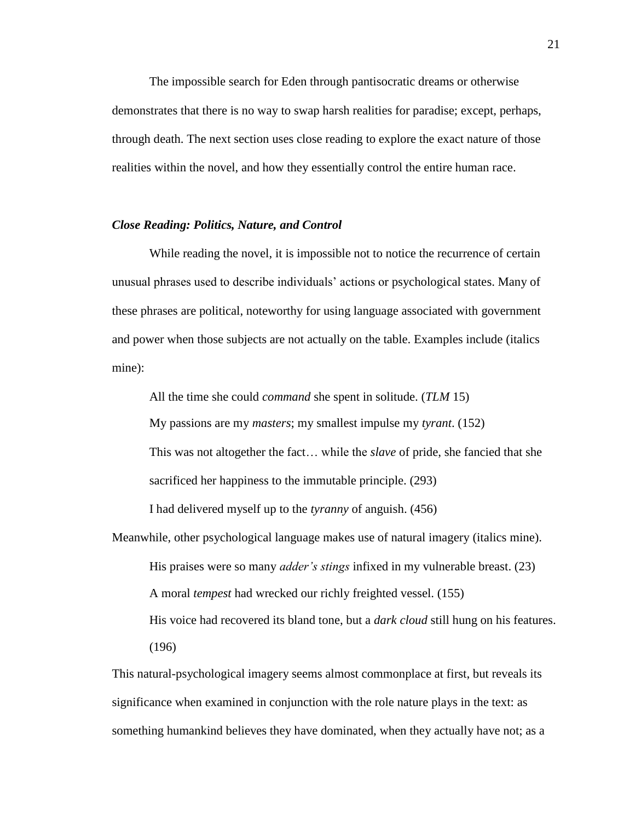The impossible search for Eden through pantisocratic dreams or otherwise demonstrates that there is no way to swap harsh realities for paradise; except, perhaps, through death. The next section uses close reading to explore the exact nature of those realities within the novel, and how they essentially control the entire human race.

#### *Close Reading: Politics, Nature, and Control*

While reading the novel, it is impossible not to notice the recurrence of certain unusual phrases used to describe individuals' actions or psychological states. Many of these phrases are political, noteworthy for using language associated with government and power when those subjects are not actually on the table. Examples include (italics mine):

All the time she could *command* she spent in solitude. (*TLM* 15)

My passions are my *masters*; my smallest impulse my *tyrant*. (152)

This was not altogether the fact… while the *slave* of pride, she fancied that she sacrificed her happiness to the immutable principle. (293)

I had delivered myself up to the *tyranny* of anguish. (456)

Meanwhile, other psychological language makes use of natural imagery (italics mine). His praises were so many *adder's stings* infixed in my vulnerable breast. (23) A moral *tempest* had wrecked our richly freighted vessel. (155) His voice had recovered its bland tone, but a *dark cloud* still hung on his features. (196)

This natural-psychological imagery seems almost commonplace at first, but reveals its significance when examined in conjunction with the role nature plays in the text: as something humankind believes they have dominated, when they actually have not; as a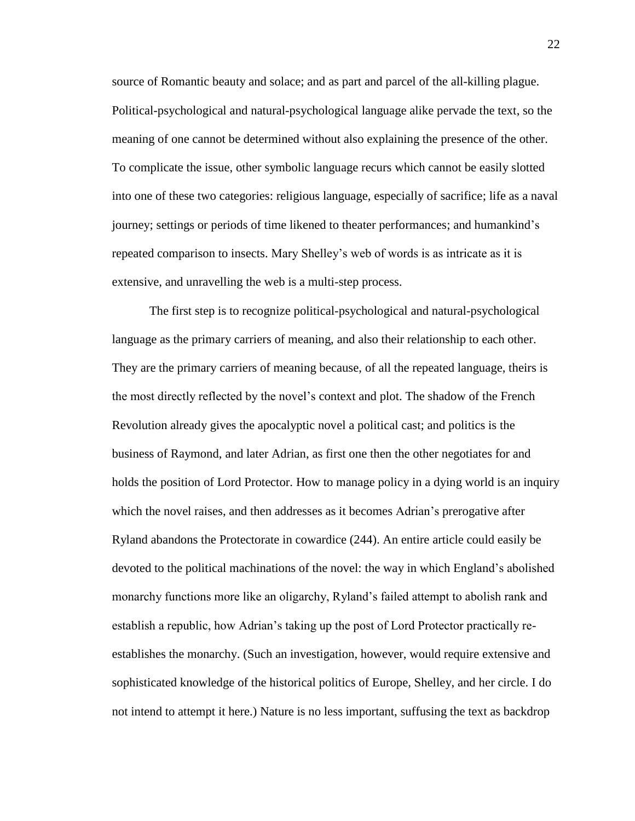source of Romantic beauty and solace; and as part and parcel of the all-killing plague. Political-psychological and natural-psychological language alike pervade the text, so the meaning of one cannot be determined without also explaining the presence of the other. To complicate the issue, other symbolic language recurs which cannot be easily slotted into one of these two categories: religious language, especially of sacrifice; life as a naval journey; settings or periods of time likened to theater performances; and humankind's repeated comparison to insects. Mary Shelley's web of words is as intricate as it is extensive, and unravelling the web is a multi-step process.

The first step is to recognize political-psychological and natural-psychological language as the primary carriers of meaning, and also their relationship to each other. They are the primary carriers of meaning because, of all the repeated language, theirs is the most directly reflected by the novel's context and plot. The shadow of the French Revolution already gives the apocalyptic novel a political cast; and politics is the business of Raymond, and later Adrian, as first one then the other negotiates for and holds the position of Lord Protector. How to manage policy in a dying world is an inquiry which the novel raises, and then addresses as it becomes Adrian's prerogative after Ryland abandons the Protectorate in cowardice (244). An entire article could easily be devoted to the political machinations of the novel: the way in which England's abolished monarchy functions more like an oligarchy, Ryland's failed attempt to abolish rank and establish a republic, how Adrian's taking up the post of Lord Protector practically reestablishes the monarchy. (Such an investigation, however, would require extensive and sophisticated knowledge of the historical politics of Europe, Shelley, and her circle. I do not intend to attempt it here.) Nature is no less important, suffusing the text as backdrop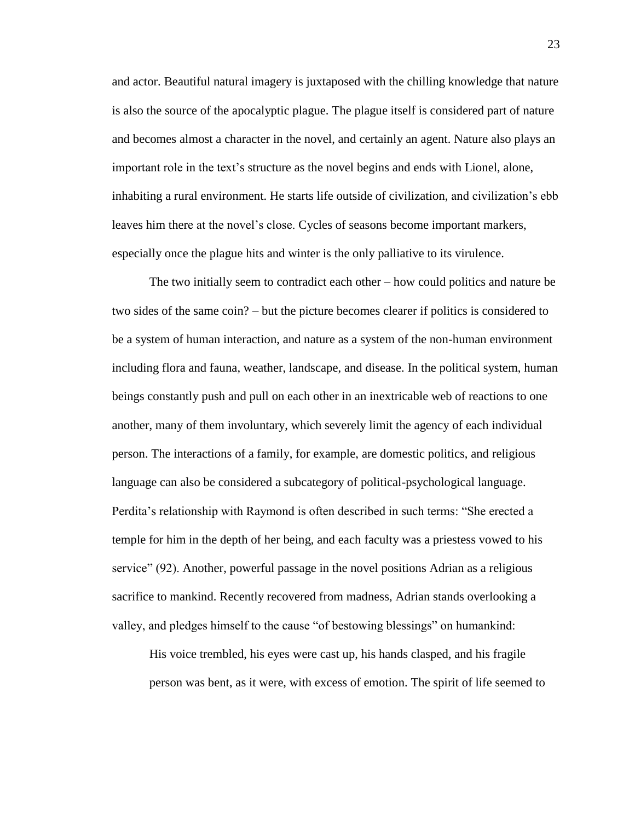and actor. Beautiful natural imagery is juxtaposed with the chilling knowledge that nature is also the source of the apocalyptic plague. The plague itself is considered part of nature and becomes almost a character in the novel, and certainly an agent. Nature also plays an important role in the text's structure as the novel begins and ends with Lionel, alone, inhabiting a rural environment. He starts life outside of civilization, and civilization's ebb leaves him there at the novel's close. Cycles of seasons become important markers, especially once the plague hits and winter is the only palliative to its virulence.

The two initially seem to contradict each other – how could politics and nature be two sides of the same coin? – but the picture becomes clearer if politics is considered to be a system of human interaction, and nature as a system of the non-human environment including flora and fauna, weather, landscape, and disease. In the political system, human beings constantly push and pull on each other in an inextricable web of reactions to one another, many of them involuntary, which severely limit the agency of each individual person. The interactions of a family, for example, are domestic politics, and religious language can also be considered a subcategory of political-psychological language. Perdita's relationship with Raymond is often described in such terms: "She erected a temple for him in the depth of her being, and each faculty was a priestess vowed to his service" (92). Another, powerful passage in the novel positions Adrian as a religious sacrifice to mankind. Recently recovered from madness, Adrian stands overlooking a valley, and pledges himself to the cause "of bestowing blessings" on humankind:

His voice trembled, his eyes were cast up, his hands clasped, and his fragile person was bent, as it were, with excess of emotion. The spirit of life seemed to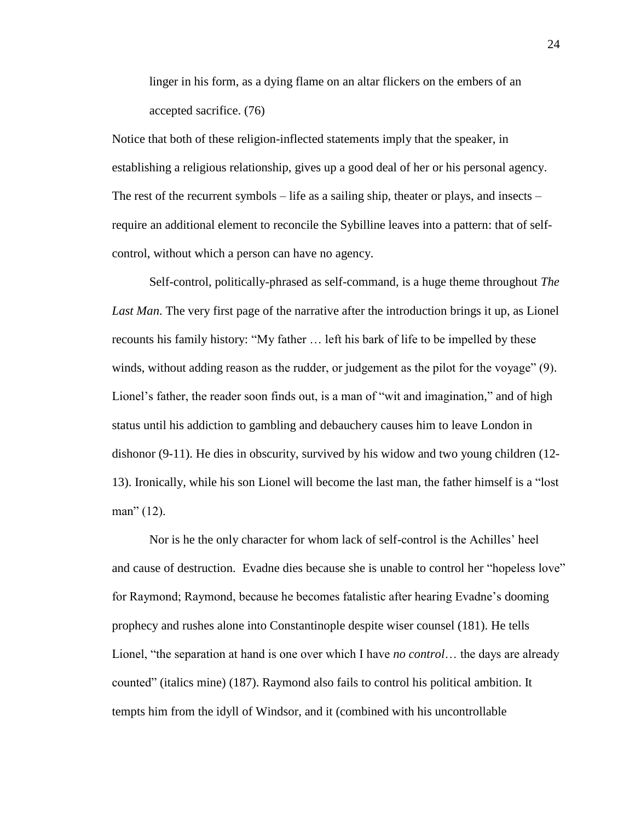linger in his form, as a dying flame on an altar flickers on the embers of an accepted sacrifice. (76)

Notice that both of these religion-inflected statements imply that the speaker, in establishing a religious relationship, gives up a good deal of her or his personal agency. The rest of the recurrent symbols – life as a sailing ship, theater or plays, and insects – require an additional element to reconcile the Sybilline leaves into a pattern: that of selfcontrol, without which a person can have no agency.

Self-control, politically-phrased as self-command, is a huge theme throughout *The Last Man*. The very first page of the narrative after the introduction brings it up, as Lionel recounts his family history: "My father … left his bark of life to be impelled by these winds, without adding reason as the rudder, or judgement as the pilot for the voyage" (9). Lionel's father, the reader soon finds out, is a man of "wit and imagination," and of high status until his addiction to gambling and debauchery causes him to leave London in dishonor (9-11). He dies in obscurity, survived by his widow and two young children (12- 13). Ironically, while his son Lionel will become the last man, the father himself is a "lost man" (12).

Nor is he the only character for whom lack of self-control is the Achilles' heel and cause of destruction. Evadne dies because she is unable to control her "hopeless love" for Raymond; Raymond, because he becomes fatalistic after hearing Evadne's dooming prophecy and rushes alone into Constantinople despite wiser counsel (181). He tells Lionel, "the separation at hand is one over which I have *no control*… the days are already counted" (italics mine) (187). Raymond also fails to control his political ambition. It tempts him from the idyll of Windsor, and it (combined with his uncontrollable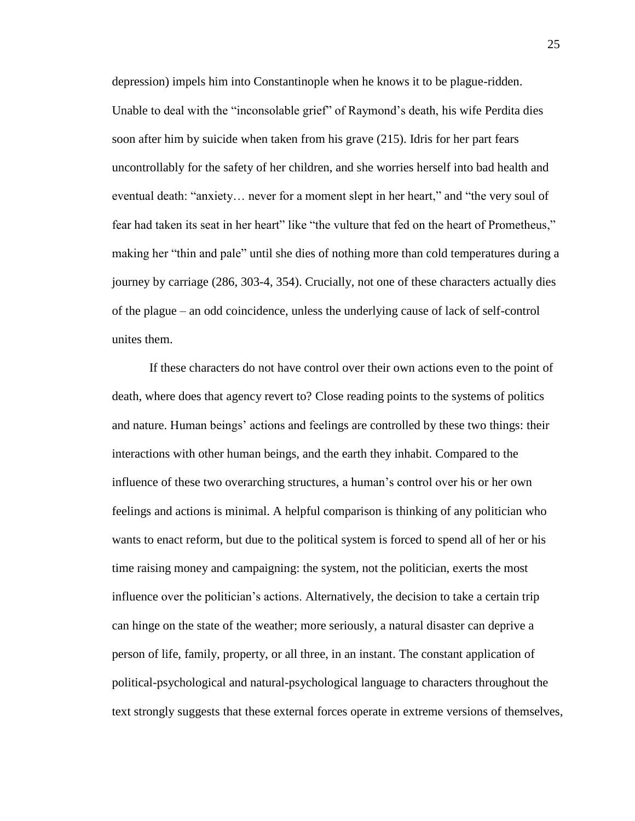depression) impels him into Constantinople when he knows it to be plague-ridden. Unable to deal with the "inconsolable grief" of Raymond's death, his wife Perdita dies soon after him by suicide when taken from his grave (215). Idris for her part fears uncontrollably for the safety of her children, and she worries herself into bad health and eventual death: "anxiety… never for a moment slept in her heart," and "the very soul of fear had taken its seat in her heart" like "the vulture that fed on the heart of Prometheus," making her "thin and pale" until she dies of nothing more than cold temperatures during a journey by carriage (286, 303-4, 354). Crucially, not one of these characters actually dies of the plague – an odd coincidence, unless the underlying cause of lack of self-control unites them.

If these characters do not have control over their own actions even to the point of death, where does that agency revert to? Close reading points to the systems of politics and nature. Human beings' actions and feelings are controlled by these two things: their interactions with other human beings, and the earth they inhabit. Compared to the influence of these two overarching structures, a human's control over his or her own feelings and actions is minimal. A helpful comparison is thinking of any politician who wants to enact reform, but due to the political system is forced to spend all of her or his time raising money and campaigning: the system, not the politician, exerts the most influence over the politician's actions. Alternatively, the decision to take a certain trip can hinge on the state of the weather; more seriously, a natural disaster can deprive a person of life, family, property, or all three, in an instant. The constant application of political-psychological and natural-psychological language to characters throughout the text strongly suggests that these external forces operate in extreme versions of themselves,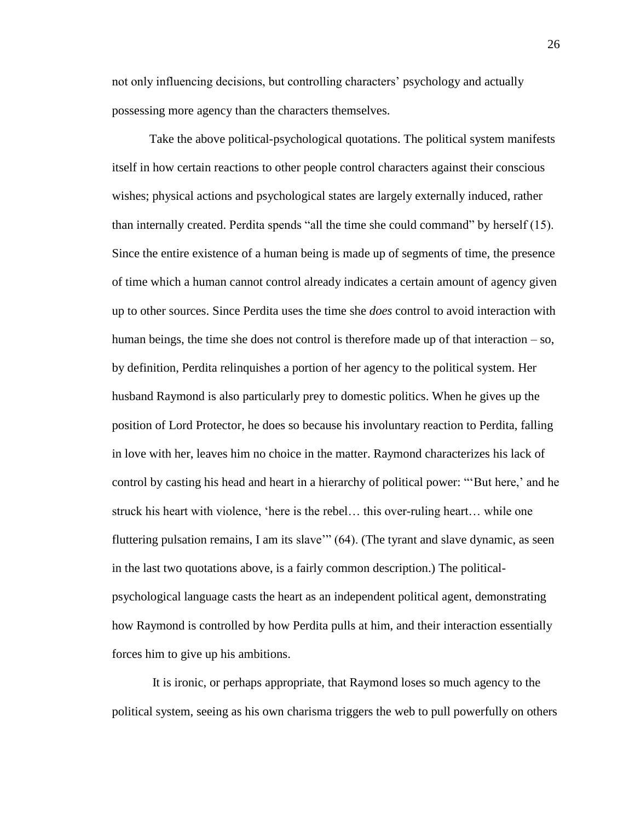not only influencing decisions, but controlling characters' psychology and actually possessing more agency than the characters themselves.

Take the above political-psychological quotations. The political system manifests itself in how certain reactions to other people control characters against their conscious wishes; physical actions and psychological states are largely externally induced, rather than internally created. Perdita spends "all the time she could command" by herself (15). Since the entire existence of a human being is made up of segments of time, the presence of time which a human cannot control already indicates a certain amount of agency given up to other sources. Since Perdita uses the time she *does* control to avoid interaction with human beings, the time she does not control is therefore made up of that interaction – so, by definition, Perdita relinquishes a portion of her agency to the political system. Her husband Raymond is also particularly prey to domestic politics. When he gives up the position of Lord Protector, he does so because his involuntary reaction to Perdita, falling in love with her, leaves him no choice in the matter. Raymond characterizes his lack of control by casting his head and heart in a hierarchy of political power: "'But here,' and he struck his heart with violence, 'here is the rebel… this over-ruling heart… while one fluttering pulsation remains, I am its slave'" (64). (The tyrant and slave dynamic, as seen in the last two quotations above, is a fairly common description.) The politicalpsychological language casts the heart as an independent political agent, demonstrating how Raymond is controlled by how Perdita pulls at him, and their interaction essentially forces him to give up his ambitions.

It is ironic, or perhaps appropriate, that Raymond loses so much agency to the political system, seeing as his own charisma triggers the web to pull powerfully on others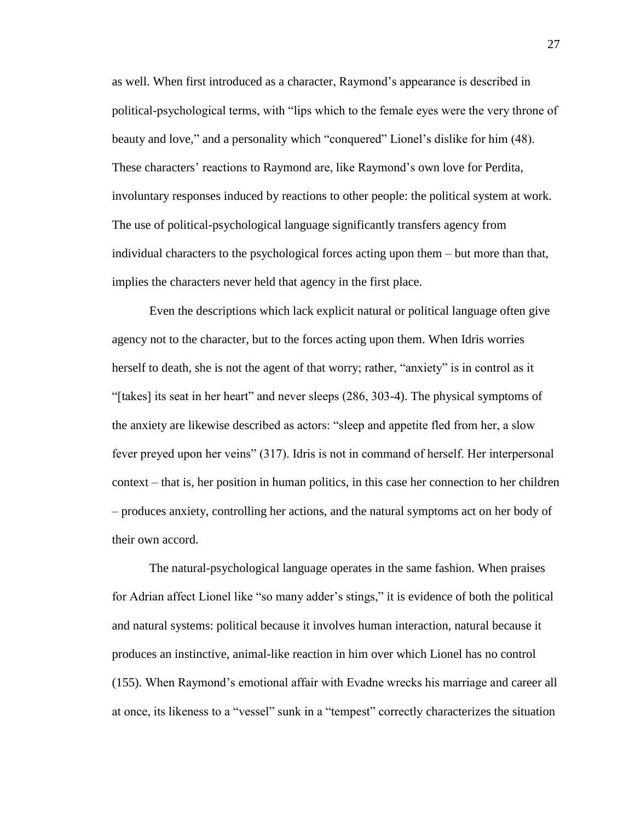as well. When first introduced as a character, Raymond's appearance is described in political-psychological terms, with "lips which to the female eyes were the very throne of beauty and love," and a personality which "conquered" Lionel's dislike for him (48). These characters' reactions to Raymond are, like Raymond's own love for Perdita, involuntary responses induced by reactions to other people: the political system at work. The use of political-psychological language significantly transfers agency from individual characters to the psychological forces acting upon them – but more than that, implies the characters never held that agency in the first place.

Even the descriptions which lack explicit natural or political language often give agency not to the character, but to the forces acting upon them. When Idris worries herself to death, she is not the agent of that worry; rather, "anxiety" is in control as it "[takes] its seat in her heart" and never sleeps (286, 303-4). The physical symptoms of the anxiety are likewise described as actors: "sleep and appetite fled from her, a slow fever preyed upon her veins" (317). Idris is not in command of herself. Her interpersonal context – that is, her position in human politics, in this case her connection to her children – produces anxiety, controlling her actions, and the natural symptoms act on her body of their own accord.

The natural-psychological language operates in the same fashion. When praises for Adrian affect Lionel like "so many adder's stings," it is evidence of both the political and natural systems: political because it involves human interaction, natural because it produces an instinctive, animal-like reaction in him over which Lionel has no control (155). When Raymond's emotional affair with Evadne wrecks his marriage and career all at once, its likeness to a "vessel" sunk in a "tempest" correctly characterizes the situation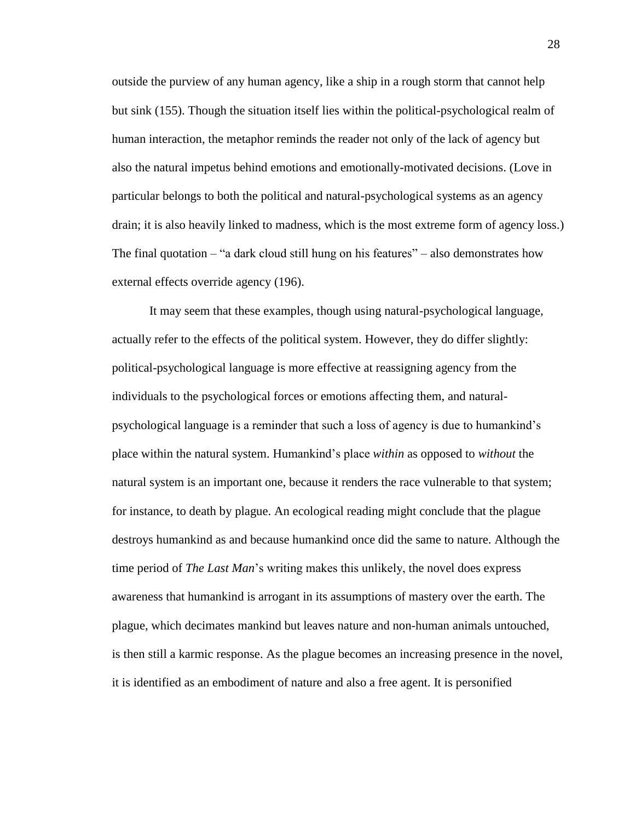outside the purview of any human agency, like a ship in a rough storm that cannot help but sink (155). Though the situation itself lies within the political-psychological realm of human interaction, the metaphor reminds the reader not only of the lack of agency but also the natural impetus behind emotions and emotionally-motivated decisions. (Love in particular belongs to both the political and natural-psychological systems as an agency drain; it is also heavily linked to madness, which is the most extreme form of agency loss.) The final quotation  $-$  "a dark cloud still hung on his features"  $-$  also demonstrates how external effects override agency (196).

It may seem that these examples, though using natural-psychological language, actually refer to the effects of the political system. However, they do differ slightly: political-psychological language is more effective at reassigning agency from the individuals to the psychological forces or emotions affecting them, and naturalpsychological language is a reminder that such a loss of agency is due to humankind's place within the natural system. Humankind's place *within* as opposed to *without* the natural system is an important one, because it renders the race vulnerable to that system; for instance, to death by plague. An ecological reading might conclude that the plague destroys humankind as and because humankind once did the same to nature. Although the time period of *The Last Man*'s writing makes this unlikely, the novel does express awareness that humankind is arrogant in its assumptions of mastery over the earth. The plague, which decimates mankind but leaves nature and non-human animals untouched, is then still a karmic response. As the plague becomes an increasing presence in the novel, it is identified as an embodiment of nature and also a free agent. It is personified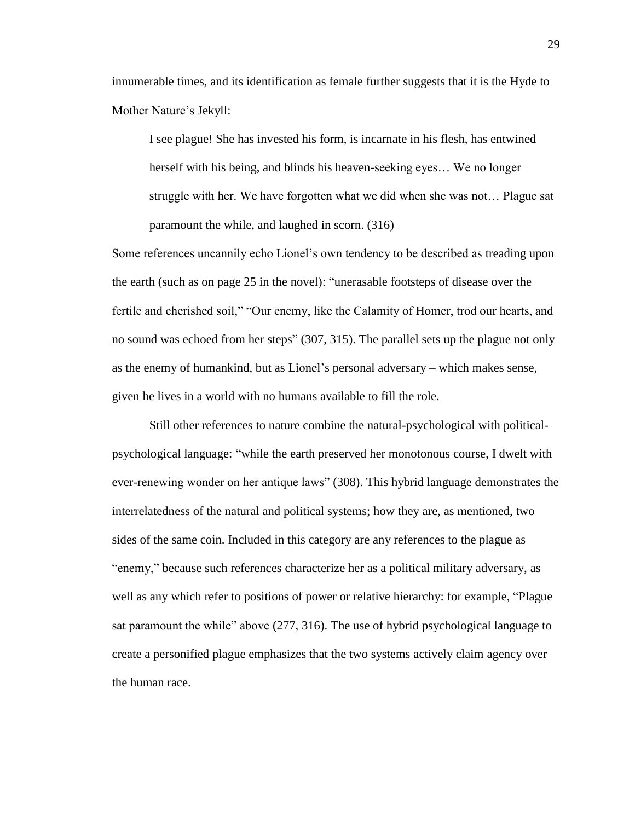innumerable times, and its identification as female further suggests that it is the Hyde to Mother Nature's Jekyll:

I see plague! She has invested his form, is incarnate in his flesh, has entwined herself with his being, and blinds his heaven-seeking eyes… We no longer struggle with her. We have forgotten what we did when she was not… Plague sat paramount the while, and laughed in scorn. (316)

Some references uncannily echo Lionel's own tendency to be described as treading upon the earth (such as on page 25 in the novel): "unerasable footsteps of disease over the fertile and cherished soil," "Our enemy, like the Calamity of Homer, trod our hearts, and no sound was echoed from her steps" (307, 315). The parallel sets up the plague not only as the enemy of humankind, but as Lionel's personal adversary – which makes sense, given he lives in a world with no humans available to fill the role.

Still other references to nature combine the natural-psychological with politicalpsychological language: "while the earth preserved her monotonous course, I dwelt with ever-renewing wonder on her antique laws" (308). This hybrid language demonstrates the interrelatedness of the natural and political systems; how they are, as mentioned, two sides of the same coin. Included in this category are any references to the plague as "enemy," because such references characterize her as a political military adversary, as well as any which refer to positions of power or relative hierarchy: for example, "Plague sat paramount the while" above (277, 316). The use of hybrid psychological language to create a personified plague emphasizes that the two systems actively claim agency over the human race.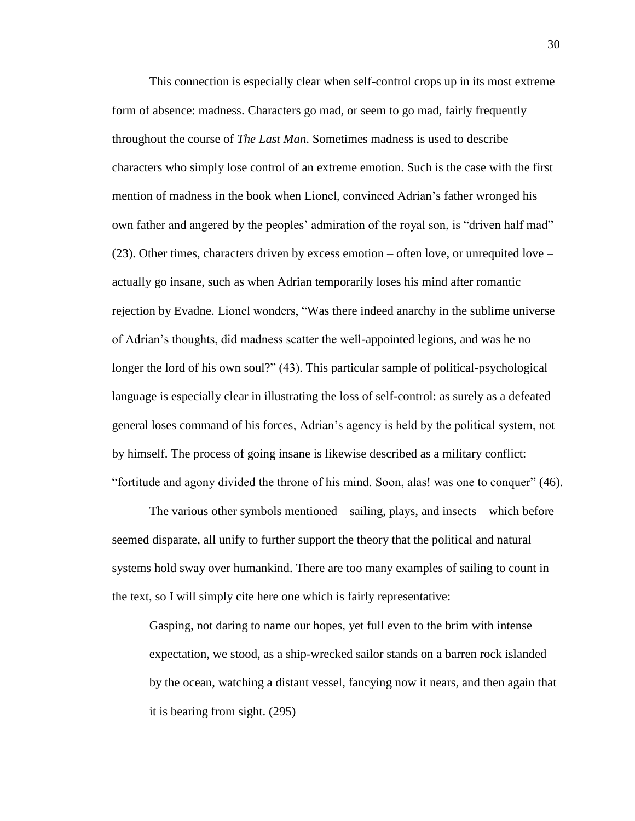This connection is especially clear when self-control crops up in its most extreme form of absence: madness. Characters go mad, or seem to go mad, fairly frequently throughout the course of *The Last Man*. Sometimes madness is used to describe characters who simply lose control of an extreme emotion. Such is the case with the first mention of madness in the book when Lionel, convinced Adrian's father wronged his own father and angered by the peoples' admiration of the royal son, is "driven half mad" (23). Other times, characters driven by excess emotion – often love, or unrequited love – actually go insane, such as when Adrian temporarily loses his mind after romantic rejection by Evadne. Lionel wonders, "Was there indeed anarchy in the sublime universe of Adrian's thoughts, did madness scatter the well-appointed legions, and was he no longer the lord of his own soul?" (43). This particular sample of political-psychological language is especially clear in illustrating the loss of self-control: as surely as a defeated general loses command of his forces, Adrian's agency is held by the political system, not by himself. The process of going insane is likewise described as a military conflict: "fortitude and agony divided the throne of his mind. Soon, alas! was one to conquer" (46).

The various other symbols mentioned – sailing, plays, and insects – which before seemed disparate, all unify to further support the theory that the political and natural systems hold sway over humankind. There are too many examples of sailing to count in the text, so I will simply cite here one which is fairly representative:

Gasping, not daring to name our hopes, yet full even to the brim with intense expectation, we stood, as a ship-wrecked sailor stands on a barren rock islanded by the ocean, watching a distant vessel, fancying now it nears, and then again that it is bearing from sight. (295)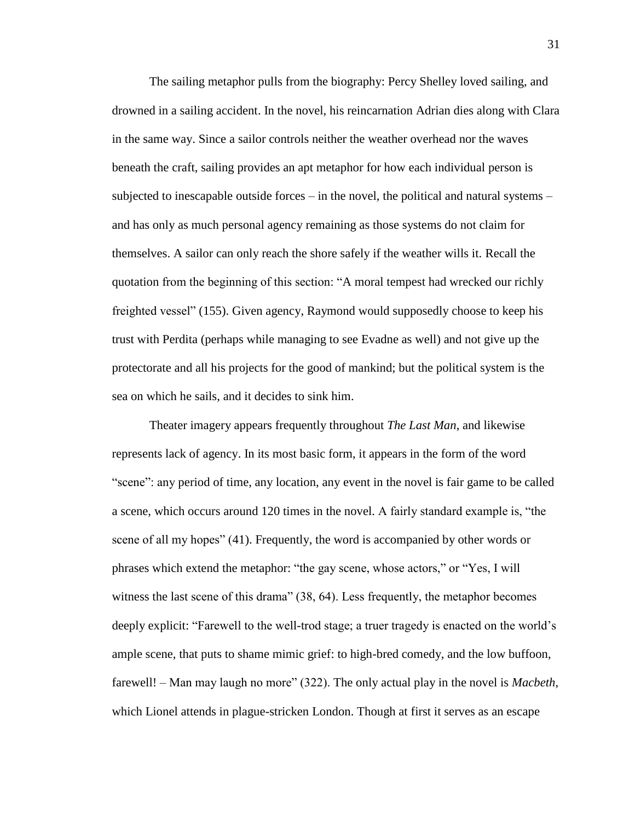The sailing metaphor pulls from the biography: Percy Shelley loved sailing, and drowned in a sailing accident. In the novel, his reincarnation Adrian dies along with Clara in the same way. Since a sailor controls neither the weather overhead nor the waves beneath the craft, sailing provides an apt metaphor for how each individual person is subjected to inescapable outside forces – in the novel, the political and natural systems – and has only as much personal agency remaining as those systems do not claim for themselves. A sailor can only reach the shore safely if the weather wills it. Recall the quotation from the beginning of this section: "A moral tempest had wrecked our richly freighted vessel" (155). Given agency, Raymond would supposedly choose to keep his trust with Perdita (perhaps while managing to see Evadne as well) and not give up the protectorate and all his projects for the good of mankind; but the political system is the sea on which he sails, and it decides to sink him.

Theater imagery appears frequently throughout *The Last Man*, and likewise represents lack of agency. In its most basic form, it appears in the form of the word "scene": any period of time, any location, any event in the novel is fair game to be called a scene, which occurs around 120 times in the novel. A fairly standard example is, "the scene of all my hopes" (41). Frequently, the word is accompanied by other words or phrases which extend the metaphor: "the gay scene, whose actors," or "Yes, I will witness the last scene of this drama" (38, 64). Less frequently, the metaphor becomes deeply explicit: "Farewell to the well-trod stage; a truer tragedy is enacted on the world's ample scene, that puts to shame mimic grief: to high-bred comedy, and the low buffoon, farewell! – Man may laugh no more" (322). The only actual play in the novel is *Macbeth*, which Lionel attends in plague-stricken London. Though at first it serves as an escape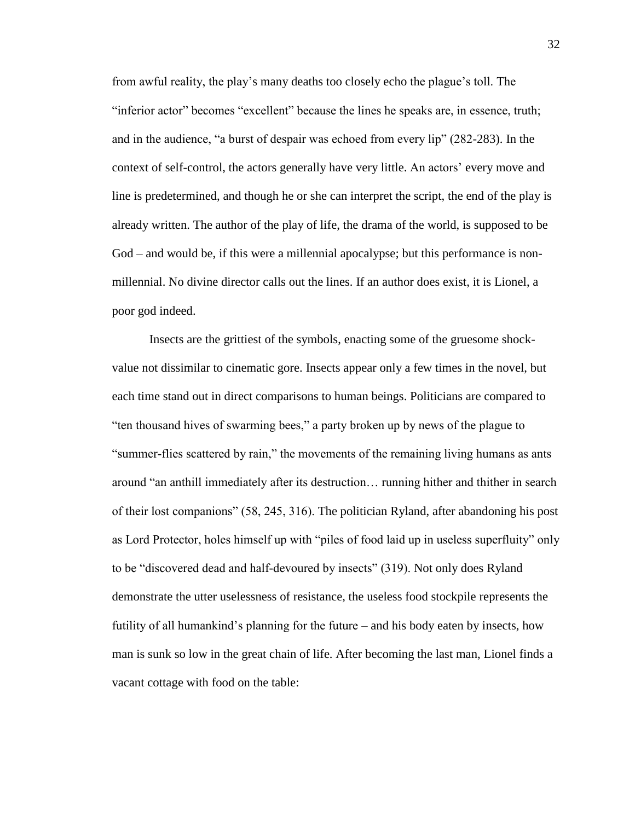from awful reality, the play's many deaths too closely echo the plague's toll. The "inferior actor" becomes "excellent" because the lines he speaks are, in essence, truth; and in the audience, "a burst of despair was echoed from every lip" (282-283). In the context of self-control, the actors generally have very little. An actors' every move and line is predetermined, and though he or she can interpret the script, the end of the play is already written. The author of the play of life, the drama of the world, is supposed to be God – and would be, if this were a millennial apocalypse; but this performance is nonmillennial. No divine director calls out the lines. If an author does exist, it is Lionel, a poor god indeed.

Insects are the grittiest of the symbols, enacting some of the gruesome shockvalue not dissimilar to cinematic gore. Insects appear only a few times in the novel, but each time stand out in direct comparisons to human beings. Politicians are compared to "ten thousand hives of swarming bees," a party broken up by news of the plague to "summer-flies scattered by rain," the movements of the remaining living humans as ants around "an anthill immediately after its destruction… running hither and thither in search of their lost companions" (58, 245, 316). The politician Ryland, after abandoning his post as Lord Protector, holes himself up with "piles of food laid up in useless superfluity" only to be "discovered dead and half-devoured by insects" (319). Not only does Ryland demonstrate the utter uselessness of resistance, the useless food stockpile represents the futility of all humankind's planning for the future – and his body eaten by insects, how man is sunk so low in the great chain of life. After becoming the last man, Lionel finds a vacant cottage with food on the table: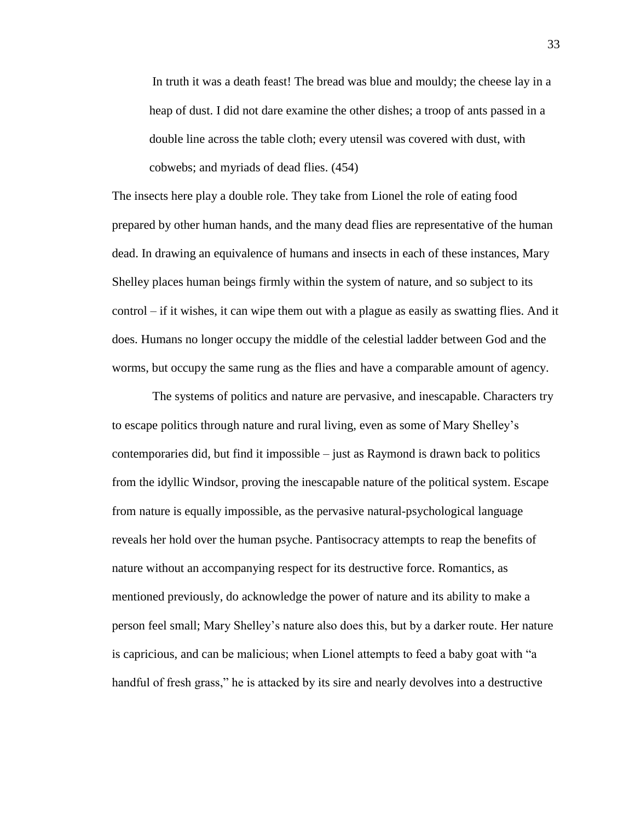In truth it was a death feast! The bread was blue and mouldy; the cheese lay in a heap of dust. I did not dare examine the other dishes; a troop of ants passed in a double line across the table cloth; every utensil was covered with dust, with cobwebs; and myriads of dead flies. (454)

The insects here play a double role. They take from Lionel the role of eating food prepared by other human hands, and the many dead flies are representative of the human dead. In drawing an equivalence of humans and insects in each of these instances, Mary Shelley places human beings firmly within the system of nature, and so subject to its control – if it wishes, it can wipe them out with a plague as easily as swatting flies. And it does. Humans no longer occupy the middle of the celestial ladder between God and the worms, but occupy the same rung as the flies and have a comparable amount of agency.

The systems of politics and nature are pervasive, and inescapable. Characters try to escape politics through nature and rural living, even as some of Mary Shelley's contemporaries did, but find it impossible – just as Raymond is drawn back to politics from the idyllic Windsor, proving the inescapable nature of the political system. Escape from nature is equally impossible, as the pervasive natural-psychological language reveals her hold over the human psyche. Pantisocracy attempts to reap the benefits of nature without an accompanying respect for its destructive force. Romantics, as mentioned previously, do acknowledge the power of nature and its ability to make a person feel small; Mary Shelley's nature also does this, but by a darker route. Her nature is capricious, and can be malicious; when Lionel attempts to feed a baby goat with "a handful of fresh grass," he is attacked by its sire and nearly devolves into a destructive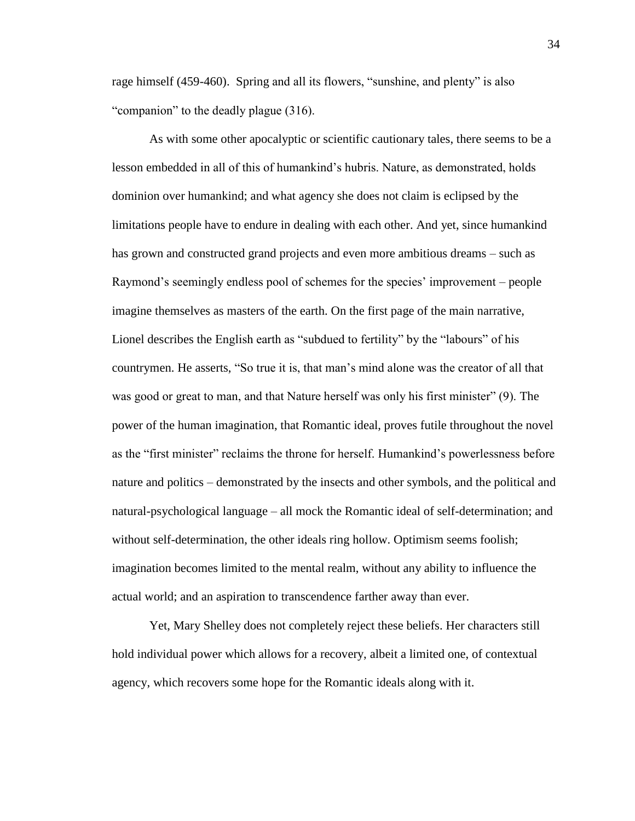rage himself (459-460). Spring and all its flowers, "sunshine, and plenty" is also "companion" to the deadly plague (316).

As with some other apocalyptic or scientific cautionary tales, there seems to be a lesson embedded in all of this of humankind's hubris. Nature, as demonstrated, holds dominion over humankind; and what agency she does not claim is eclipsed by the limitations people have to endure in dealing with each other. And yet, since humankind has grown and constructed grand projects and even more ambitious dreams – such as Raymond's seemingly endless pool of schemes for the species' improvement – people imagine themselves as masters of the earth. On the first page of the main narrative, Lionel describes the English earth as "subdued to fertility" by the "labours" of his countrymen. He asserts, "So true it is, that man's mind alone was the creator of all that was good or great to man, and that Nature herself was only his first minister" (9). The power of the human imagination, that Romantic ideal, proves futile throughout the novel as the "first minister" reclaims the throne for herself. Humankind's powerlessness before nature and politics – demonstrated by the insects and other symbols, and the political and natural-psychological language – all mock the Romantic ideal of self-determination; and without self-determination, the other ideals ring hollow. Optimism seems foolish; imagination becomes limited to the mental realm, without any ability to influence the actual world; and an aspiration to transcendence farther away than ever.

Yet, Mary Shelley does not completely reject these beliefs. Her characters still hold individual power which allows for a recovery, albeit a limited one, of contextual agency, which recovers some hope for the Romantic ideals along with it.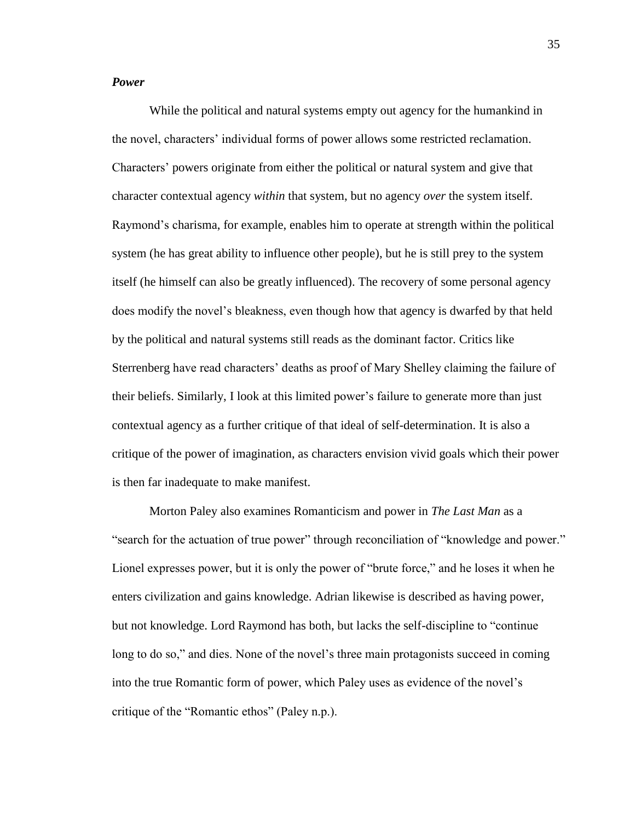# *Power*

While the political and natural systems empty out agency for the humankind in the novel, characters' individual forms of power allows some restricted reclamation. Characters' powers originate from either the political or natural system and give that character contextual agency *within* that system, but no agency *over* the system itself. Raymond's charisma, for example, enables him to operate at strength within the political system (he has great ability to influence other people), but he is still prey to the system itself (he himself can also be greatly influenced). The recovery of some personal agency does modify the novel's bleakness, even though how that agency is dwarfed by that held by the political and natural systems still reads as the dominant factor. Critics like Sterrenberg have read characters' deaths as proof of Mary Shelley claiming the failure of their beliefs. Similarly, I look at this limited power's failure to generate more than just contextual agency as a further critique of that ideal of self-determination. It is also a critique of the power of imagination, as characters envision vivid goals which their power is then far inadequate to make manifest.

Morton Paley also examines Romanticism and power in *The Last Man* as a "search for the actuation of true power" through reconciliation of "knowledge and power." Lionel expresses power, but it is only the power of "brute force," and he loses it when he enters civilization and gains knowledge. Adrian likewise is described as having power, but not knowledge. Lord Raymond has both, but lacks the self-discipline to "continue long to do so," and dies. None of the novel's three main protagonists succeed in coming into the true Romantic form of power, which Paley uses as evidence of the novel's critique of the "Romantic ethos" (Paley n.p.).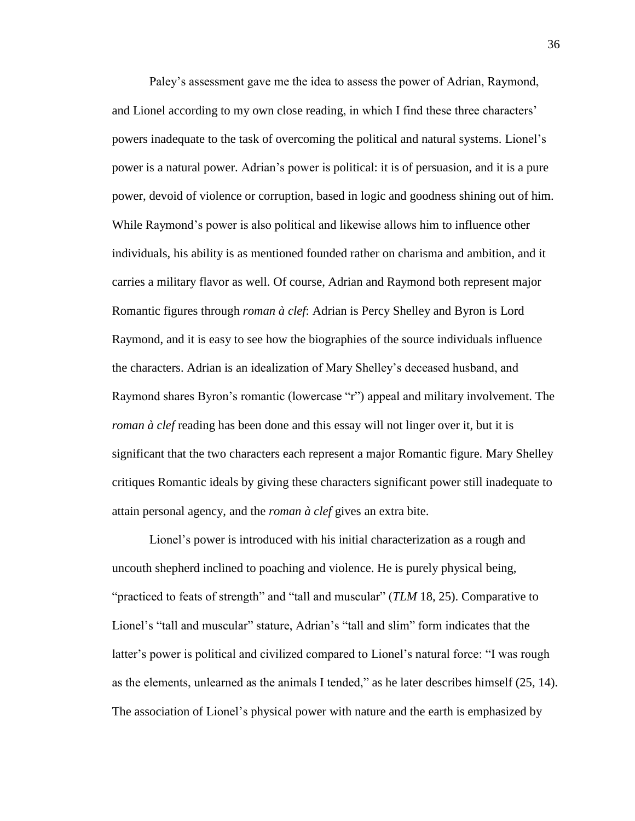Paley's assessment gave me the idea to assess the power of Adrian, Raymond, and Lionel according to my own close reading, in which I find these three characters' powers inadequate to the task of overcoming the political and natural systems. Lionel's power is a natural power. Adrian's power is political: it is of persuasion, and it is a pure power, devoid of violence or corruption, based in logic and goodness shining out of him. While Raymond's power is also political and likewise allows him to influence other individuals, his ability is as mentioned founded rather on charisma and ambition, and it carries a military flavor as well. Of course, Adrian and Raymond both represent major Romantic figures through *roman à clef*: Adrian is Percy Shelley and Byron is Lord Raymond, and it is easy to see how the biographies of the source individuals influence the characters. Adrian is an idealization of Mary Shelley's deceased husband, and Raymond shares Byron's romantic (lowercase "r") appeal and military involvement. The *roman à clef* reading has been done and this essay will not linger over it, but it is significant that the two characters each represent a major Romantic figure. Mary Shelley critiques Romantic ideals by giving these characters significant power still inadequate to attain personal agency, and the *roman à clef* gives an extra bite.

Lionel's power is introduced with his initial characterization as a rough and uncouth shepherd inclined to poaching and violence. He is purely physical being, "practiced to feats of strength" and "tall and muscular" (*TLM* 18, 25). Comparative to Lionel's "tall and muscular" stature, Adrian's "tall and slim" form indicates that the latter's power is political and civilized compared to Lionel's natural force: "I was rough as the elements, unlearned as the animals I tended," as he later describes himself (25, 14). The association of Lionel's physical power with nature and the earth is emphasized by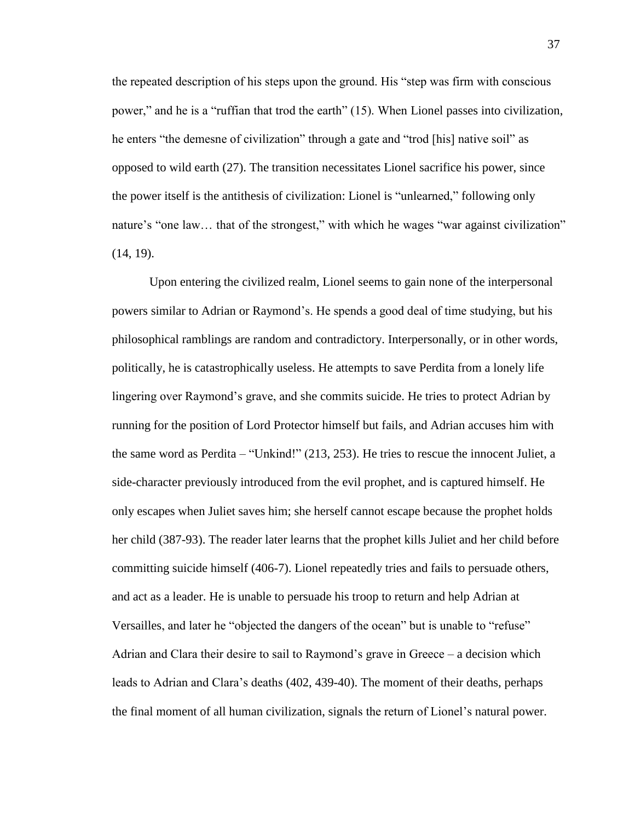the repeated description of his steps upon the ground. His "step was firm with conscious power," and he is a "ruffian that trod the earth" (15). When Lionel passes into civilization, he enters "the demesne of civilization" through a gate and "trod [his] native soil" as opposed to wild earth (27). The transition necessitates Lionel sacrifice his power, since the power itself is the antithesis of civilization: Lionel is "unlearned," following only nature's "one law... that of the strongest," with which he wages "war against civilization" (14, 19).

Upon entering the civilized realm, Lionel seems to gain none of the interpersonal powers similar to Adrian or Raymond's. He spends a good deal of time studying, but his philosophical ramblings are random and contradictory. Interpersonally, or in other words, politically, he is catastrophically useless. He attempts to save Perdita from a lonely life lingering over Raymond's grave, and she commits suicide. He tries to protect Adrian by running for the position of Lord Protector himself but fails, and Adrian accuses him with the same word as Perdita – "Unkind!" (213, 253). He tries to rescue the innocent Juliet, a side-character previously introduced from the evil prophet, and is captured himself. He only escapes when Juliet saves him; she herself cannot escape because the prophet holds her child (387-93). The reader later learns that the prophet kills Juliet and her child before committing suicide himself (406-7). Lionel repeatedly tries and fails to persuade others, and act as a leader. He is unable to persuade his troop to return and help Adrian at Versailles, and later he "objected the dangers of the ocean" but is unable to "refuse" Adrian and Clara their desire to sail to Raymond's grave in Greece – a decision which leads to Adrian and Clara's deaths (402, 439-40). The moment of their deaths, perhaps the final moment of all human civilization, signals the return of Lionel's natural power.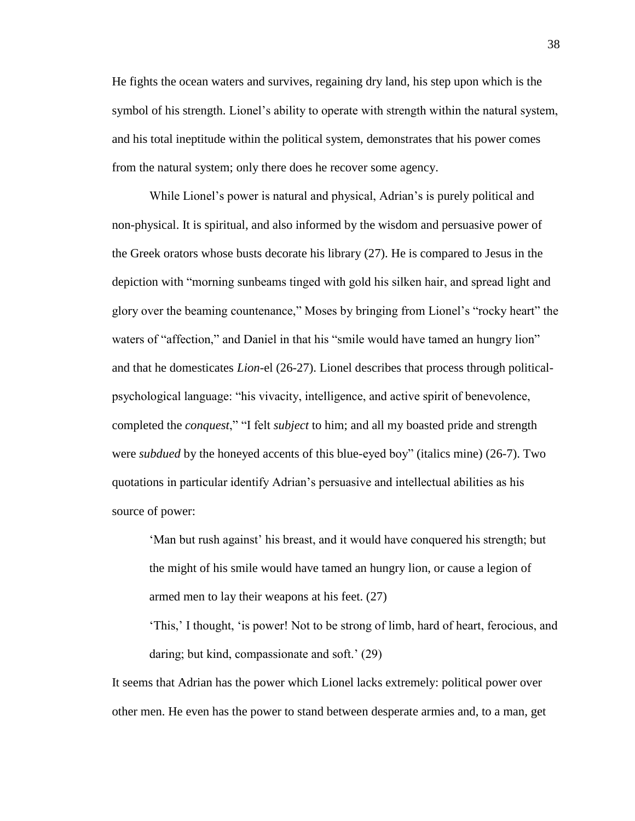He fights the ocean waters and survives, regaining dry land, his step upon which is the symbol of his strength. Lionel's ability to operate with strength within the natural system, and his total ineptitude within the political system, demonstrates that his power comes from the natural system; only there does he recover some agency.

While Lionel's power is natural and physical, Adrian's is purely political and non-physical. It is spiritual, and also informed by the wisdom and persuasive power of the Greek orators whose busts decorate his library (27). He is compared to Jesus in the depiction with "morning sunbeams tinged with gold his silken hair, and spread light and glory over the beaming countenance," Moses by bringing from Lionel's "rocky heart" the waters of "affection," and Daniel in that his "smile would have tamed an hungry lion" and that he domesticates *Lion*-el (26-27). Lionel describes that process through politicalpsychological language: "his vivacity, intelligence, and active spirit of benevolence, completed the *conquest*," "I felt *subject* to him; and all my boasted pride and strength were *subdued* by the honeyed accents of this blue-eyed boy" (italics mine) (26-7). Two quotations in particular identify Adrian's persuasive and intellectual abilities as his source of power:

'Man but rush against' his breast, and it would have conquered his strength; but the might of his smile would have tamed an hungry lion, or cause a legion of armed men to lay their weapons at his feet. (27)

'This,' I thought, 'is power! Not to be strong of limb, hard of heart, ferocious, and daring; but kind, compassionate and soft.' (29)

It seems that Adrian has the power which Lionel lacks extremely: political power over other men. He even has the power to stand between desperate armies and, to a man, get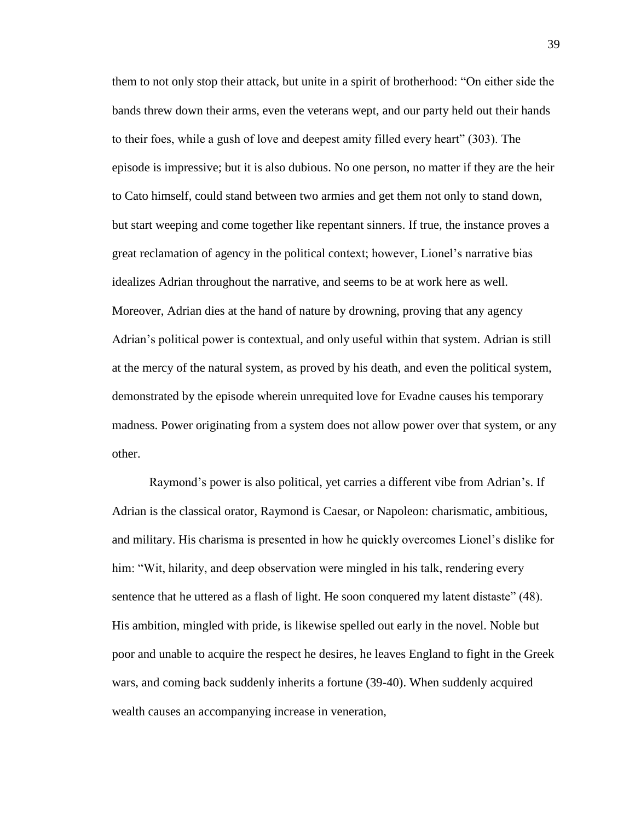them to not only stop their attack, but unite in a spirit of brotherhood: "On either side the bands threw down their arms, even the veterans wept, and our party held out their hands to their foes, while a gush of love and deepest amity filled every heart" (303). The episode is impressive; but it is also dubious. No one person, no matter if they are the heir to Cato himself, could stand between two armies and get them not only to stand down, but start weeping and come together like repentant sinners. If true, the instance proves a great reclamation of agency in the political context; however, Lionel's narrative bias idealizes Adrian throughout the narrative, and seems to be at work here as well. Moreover, Adrian dies at the hand of nature by drowning, proving that any agency Adrian's political power is contextual, and only useful within that system. Adrian is still at the mercy of the natural system, as proved by his death, and even the political system, demonstrated by the episode wherein unrequited love for Evadne causes his temporary madness. Power originating from a system does not allow power over that system, or any other.

Raymond's power is also political, yet carries a different vibe from Adrian's. If Adrian is the classical orator, Raymond is Caesar, or Napoleon: charismatic, ambitious, and military. His charisma is presented in how he quickly overcomes Lionel's dislike for him: "Wit, hilarity, and deep observation were mingled in his talk, rendering every sentence that he uttered as a flash of light. He soon conquered my latent distaste" (48). His ambition, mingled with pride, is likewise spelled out early in the novel. Noble but poor and unable to acquire the respect he desires, he leaves England to fight in the Greek wars, and coming back suddenly inherits a fortune (39-40). When suddenly acquired wealth causes an accompanying increase in veneration,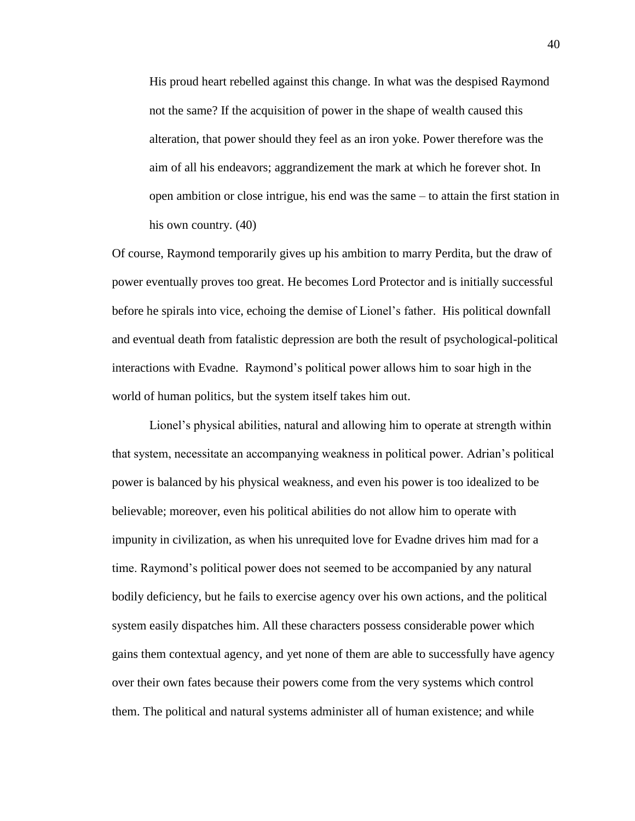His proud heart rebelled against this change. In what was the despised Raymond not the same? If the acquisition of power in the shape of wealth caused this alteration, that power should they feel as an iron yoke. Power therefore was the aim of all his endeavors; aggrandizement the mark at which he forever shot. In open ambition or close intrigue, his end was the same – to attain the first station in his own country. (40)

Of course, Raymond temporarily gives up his ambition to marry Perdita, but the draw of power eventually proves too great. He becomes Lord Protector and is initially successful before he spirals into vice, echoing the demise of Lionel's father. His political downfall and eventual death from fatalistic depression are both the result of psychological-political interactions with Evadne. Raymond's political power allows him to soar high in the world of human politics, but the system itself takes him out.

Lionel's physical abilities, natural and allowing him to operate at strength within that system, necessitate an accompanying weakness in political power. Adrian's political power is balanced by his physical weakness, and even his power is too idealized to be believable; moreover, even his political abilities do not allow him to operate with impunity in civilization, as when his unrequited love for Evadne drives him mad for a time. Raymond's political power does not seemed to be accompanied by any natural bodily deficiency, but he fails to exercise agency over his own actions, and the political system easily dispatches him. All these characters possess considerable power which gains them contextual agency, and yet none of them are able to successfully have agency over their own fates because their powers come from the very systems which control them. The political and natural systems administer all of human existence; and while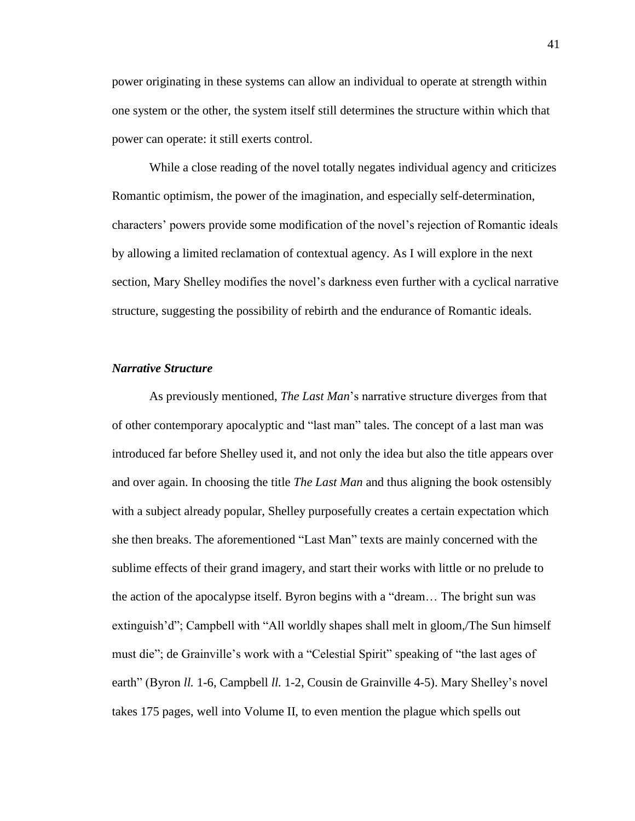power originating in these systems can allow an individual to operate at strength within one system or the other, the system itself still determines the structure within which that power can operate: it still exerts control.

While a close reading of the novel totally negates individual agency and criticizes Romantic optimism, the power of the imagination, and especially self-determination, characters' powers provide some modification of the novel's rejection of Romantic ideals by allowing a limited reclamation of contextual agency. As I will explore in the next section, Mary Shelley modifies the novel's darkness even further with a cyclical narrative structure, suggesting the possibility of rebirth and the endurance of Romantic ideals.

# *Narrative Structure*

As previously mentioned, *The Last Man*'s narrative structure diverges from that of other contemporary apocalyptic and "last man" tales. The concept of a last man was introduced far before Shelley used it, and not only the idea but also the title appears over and over again. In choosing the title *The Last Man* and thus aligning the book ostensibly with a subject already popular, Shelley purposefully creates a certain expectation which she then breaks. The aforementioned "Last Man" texts are mainly concerned with the sublime effects of their grand imagery, and start their works with little or no prelude to the action of the apocalypse itself. Byron begins with a "dream… The bright sun was extinguish'd"; Campbell with "All worldly shapes shall melt in gloom,/The Sun himself must die"; de Grainville's work with a "Celestial Spirit" speaking of "the last ages of earth" (Byron *ll.* 1-6, Campbell *ll.* 1-2, Cousin de Grainville 4-5). Mary Shelley's novel takes 175 pages, well into Volume II, to even mention the plague which spells out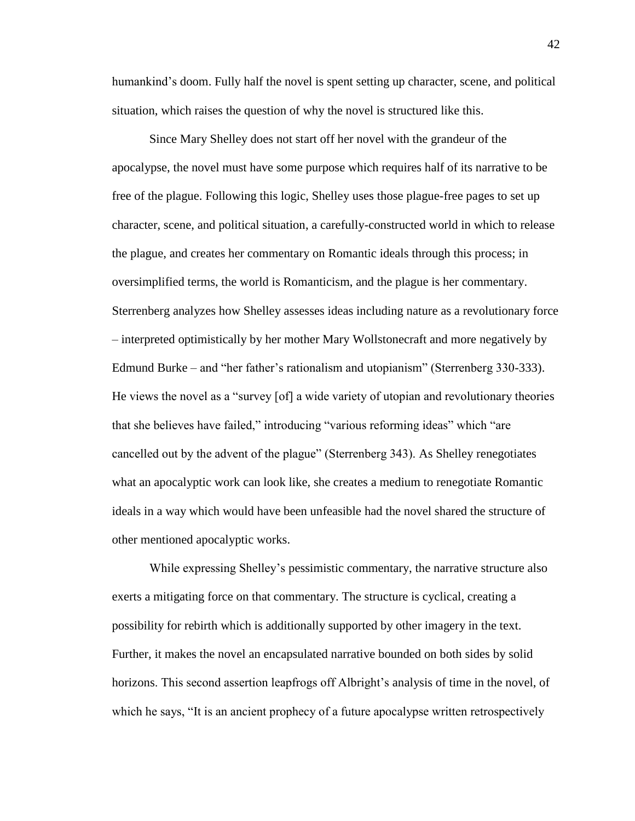humankind's doom. Fully half the novel is spent setting up character, scene, and political situation, which raises the question of why the novel is structured like this.

Since Mary Shelley does not start off her novel with the grandeur of the apocalypse, the novel must have some purpose which requires half of its narrative to be free of the plague. Following this logic, Shelley uses those plague-free pages to set up character, scene, and political situation, a carefully-constructed world in which to release the plague, and creates her commentary on Romantic ideals through this process; in oversimplified terms, the world is Romanticism, and the plague is her commentary. Sterrenberg analyzes how Shelley assesses ideas including nature as a revolutionary force – interpreted optimistically by her mother Mary Wollstonecraft and more negatively by Edmund Burke – and "her father's rationalism and utopianism" (Sterrenberg 330-333). He views the novel as a "survey [of] a wide variety of utopian and revolutionary theories that she believes have failed," introducing "various reforming ideas" which "are cancelled out by the advent of the plague" (Sterrenberg 343). As Shelley renegotiates what an apocalyptic work can look like, she creates a medium to renegotiate Romantic ideals in a way which would have been unfeasible had the novel shared the structure of other mentioned apocalyptic works.

While expressing Shelley's pessimistic commentary, the narrative structure also exerts a mitigating force on that commentary. The structure is cyclical, creating a possibility for rebirth which is additionally supported by other imagery in the text. Further, it makes the novel an encapsulated narrative bounded on both sides by solid horizons. This second assertion leapfrogs off Albright's analysis of time in the novel, of which he says, "It is an ancient prophecy of a future apocalypse written retrospectively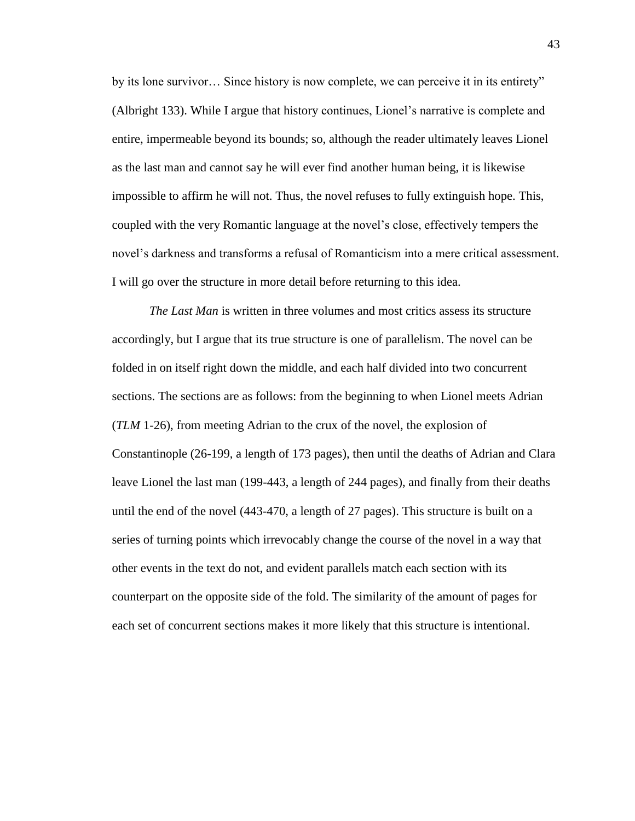by its lone survivor… Since history is now complete, we can perceive it in its entirety" (Albright 133). While I argue that history continues, Lionel's narrative is complete and entire, impermeable beyond its bounds; so, although the reader ultimately leaves Lionel as the last man and cannot say he will ever find another human being, it is likewise impossible to affirm he will not. Thus, the novel refuses to fully extinguish hope. This, coupled with the very Romantic language at the novel's close, effectively tempers the novel's darkness and transforms a refusal of Romanticism into a mere critical assessment. I will go over the structure in more detail before returning to this idea.

*The Last Man* is written in three volumes and most critics assess its structure accordingly, but I argue that its true structure is one of parallelism. The novel can be folded in on itself right down the middle, and each half divided into two concurrent sections. The sections are as follows: from the beginning to when Lionel meets Adrian (*TLM* 1-26), from meeting Adrian to the crux of the novel, the explosion of Constantinople (26-199, a length of 173 pages), then until the deaths of Adrian and Clara leave Lionel the last man (199-443, a length of 244 pages), and finally from their deaths until the end of the novel (443-470, a length of 27 pages). This structure is built on a series of turning points which irrevocably change the course of the novel in a way that other events in the text do not, and evident parallels match each section with its counterpart on the opposite side of the fold. The similarity of the amount of pages for each set of concurrent sections makes it more likely that this structure is intentional.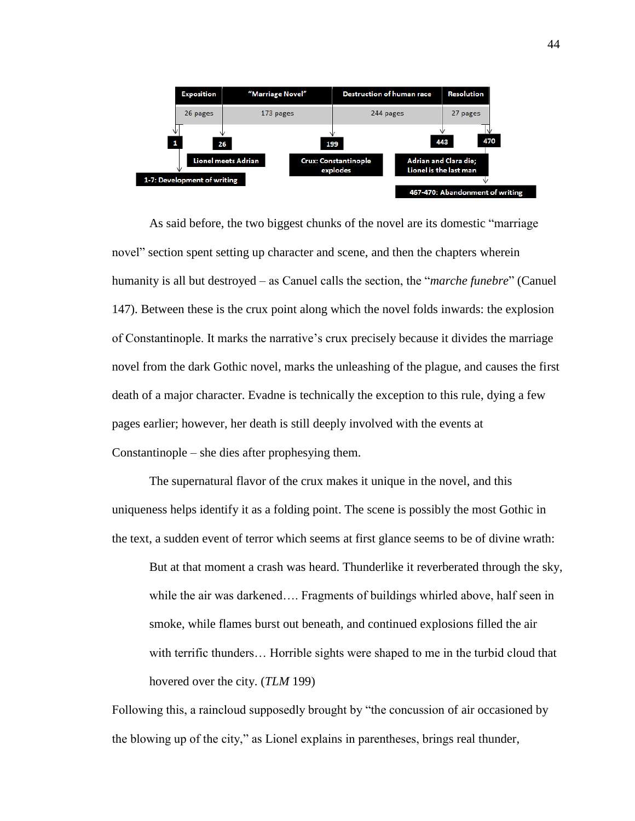

As said before, the two biggest chunks of the novel are its domestic "marriage novel" section spent setting up character and scene, and then the chapters wherein humanity is all but destroyed – as Canuel calls the section, the "*marche funebre*" (Canuel 147). Between these is the crux point along which the novel folds inwards: the explosion of Constantinople. It marks the narrative's crux precisely because it divides the marriage novel from the dark Gothic novel, marks the unleashing of the plague, and causes the first death of a major character. Evadne is technically the exception to this rule, dying a few pages earlier; however, her death is still deeply involved with the events at Constantinople – she dies after prophesying them.

The supernatural flavor of the crux makes it unique in the novel, and this uniqueness helps identify it as a folding point. The scene is possibly the most Gothic in the text, a sudden event of terror which seems at first glance seems to be of divine wrath:

But at that moment a crash was heard. Thunderlike it reverberated through the sky, while the air was darkened…. Fragments of buildings whirled above, half seen in smoke, while flames burst out beneath, and continued explosions filled the air with terrific thunders... Horrible sights were shaped to me in the turbid cloud that hovered over the city. (*TLM* 199)

Following this, a raincloud supposedly brought by "the concussion of air occasioned by the blowing up of the city," as Lionel explains in parentheses, brings real thunder,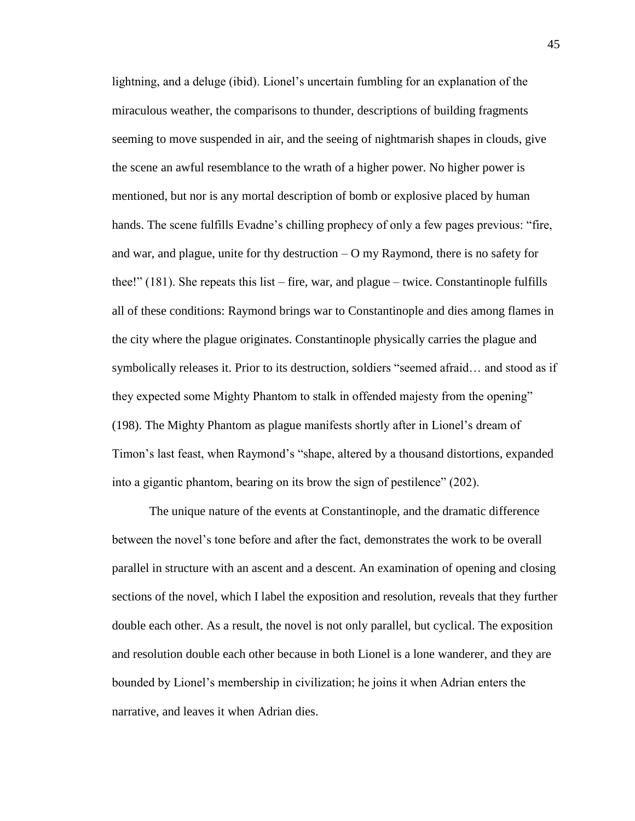lightning, and a deluge (ibid). Lionel's uncertain fumbling for an explanation of the miraculous weather, the comparisons to thunder, descriptions of building fragments seeming to move suspended in air, and the seeing of nightmarish shapes in clouds, give the scene an awful resemblance to the wrath of a higher power. No higher power is mentioned, but nor is any mortal description of bomb or explosive placed by human hands. The scene fulfills Evadne's chilling prophecy of only a few pages previous: "fire, and war, and plague, unite for thy destruction – O my Raymond, there is no safety for thee!" (181). She repeats this list – fire, war, and plague – twice. Constantinople fulfills all of these conditions: Raymond brings war to Constantinople and dies among flames in the city where the plague originates. Constantinople physically carries the plague and symbolically releases it. Prior to its destruction, soldiers "seemed afraid… and stood as if they expected some Mighty Phantom to stalk in offended majesty from the opening" (198). The Mighty Phantom as plague manifests shortly after in Lionel's dream of Timon's last feast, when Raymond's "shape, altered by a thousand distortions, expanded into a gigantic phantom, bearing on its brow the sign of pestilence" (202).

The unique nature of the events at Constantinople, and the dramatic difference between the novel's tone before and after the fact, demonstrates the work to be overall parallel in structure with an ascent and a descent. An examination of opening and closing sections of the novel, which I label the exposition and resolution, reveals that they further double each other. As a result, the novel is not only parallel, but cyclical. The exposition and resolution double each other because in both Lionel is a lone wanderer, and they are bounded by Lionel's membership in civilization; he joins it when Adrian enters the narrative, and leaves it when Adrian dies.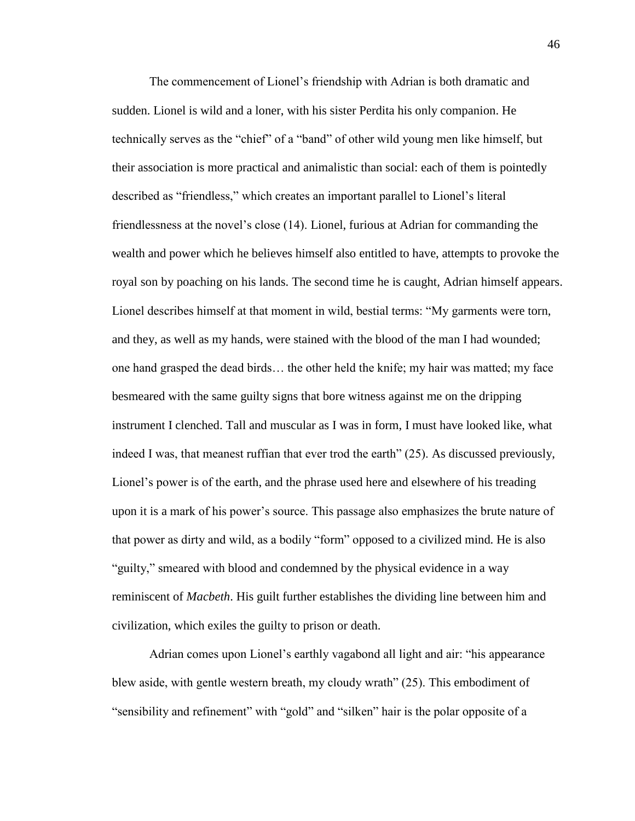The commencement of Lionel's friendship with Adrian is both dramatic and sudden. Lionel is wild and a loner, with his sister Perdita his only companion. He technically serves as the "chief" of a "band" of other wild young men like himself, but their association is more practical and animalistic than social: each of them is pointedly described as "friendless," which creates an important parallel to Lionel's literal friendlessness at the novel's close (14). Lionel, furious at Adrian for commanding the wealth and power which he believes himself also entitled to have, attempts to provoke the royal son by poaching on his lands. The second time he is caught, Adrian himself appears. Lionel describes himself at that moment in wild, bestial terms: "My garments were torn, and they, as well as my hands, were stained with the blood of the man I had wounded; one hand grasped the dead birds… the other held the knife; my hair was matted; my face besmeared with the same guilty signs that bore witness against me on the dripping instrument I clenched. Tall and muscular as I was in form, I must have looked like, what indeed I was, that meanest ruffian that ever trod the earth" (25). As discussed previously, Lionel's power is of the earth, and the phrase used here and elsewhere of his treading upon it is a mark of his power's source. This passage also emphasizes the brute nature of that power as dirty and wild, as a bodily "form" opposed to a civilized mind. He is also "guilty," smeared with blood and condemned by the physical evidence in a way reminiscent of *Macbeth*. His guilt further establishes the dividing line between him and civilization, which exiles the guilty to prison or death.

Adrian comes upon Lionel's earthly vagabond all light and air: "his appearance blew aside, with gentle western breath, my cloudy wrath" (25). This embodiment of "sensibility and refinement" with "gold" and "silken" hair is the polar opposite of a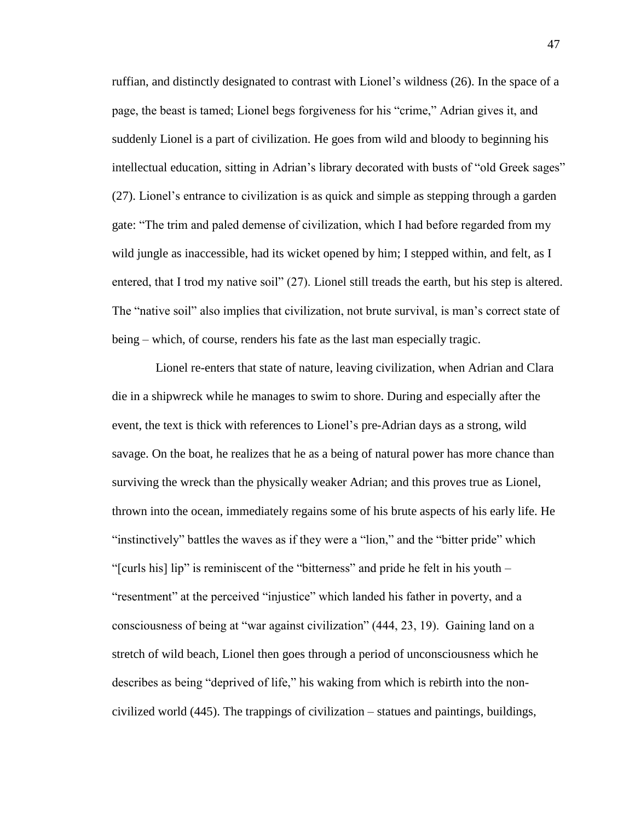ruffian, and distinctly designated to contrast with Lionel's wildness (26). In the space of a page, the beast is tamed; Lionel begs forgiveness for his "crime," Adrian gives it, and suddenly Lionel is a part of civilization. He goes from wild and bloody to beginning his intellectual education, sitting in Adrian's library decorated with busts of "old Greek sages" (27). Lionel's entrance to civilization is as quick and simple as stepping through a garden gate: "The trim and paled demense of civilization, which I had before regarded from my wild jungle as inaccessible, had its wicket opened by him; I stepped within, and felt, as I entered, that I trod my native soil" (27). Lionel still treads the earth, but his step is altered. The "native soil" also implies that civilization, not brute survival, is man's correct state of being – which, of course, renders his fate as the last man especially tragic.

Lionel re-enters that state of nature, leaving civilization, when Adrian and Clara die in a shipwreck while he manages to swim to shore. During and especially after the event, the text is thick with references to Lionel's pre-Adrian days as a strong, wild savage. On the boat, he realizes that he as a being of natural power has more chance than surviving the wreck than the physically weaker Adrian; and this proves true as Lionel, thrown into the ocean, immediately regains some of his brute aspects of his early life. He "instinctively" battles the waves as if they were a "lion," and the "bitter pride" which "[curls his] lip" is reminiscent of the "bitterness" and pride he felt in his youth – "resentment" at the perceived "injustice" which landed his father in poverty, and a consciousness of being at "war against civilization" (444, 23, 19). Gaining land on a stretch of wild beach, Lionel then goes through a period of unconsciousness which he describes as being "deprived of life," his waking from which is rebirth into the noncivilized world (445). The trappings of civilization – statues and paintings, buildings,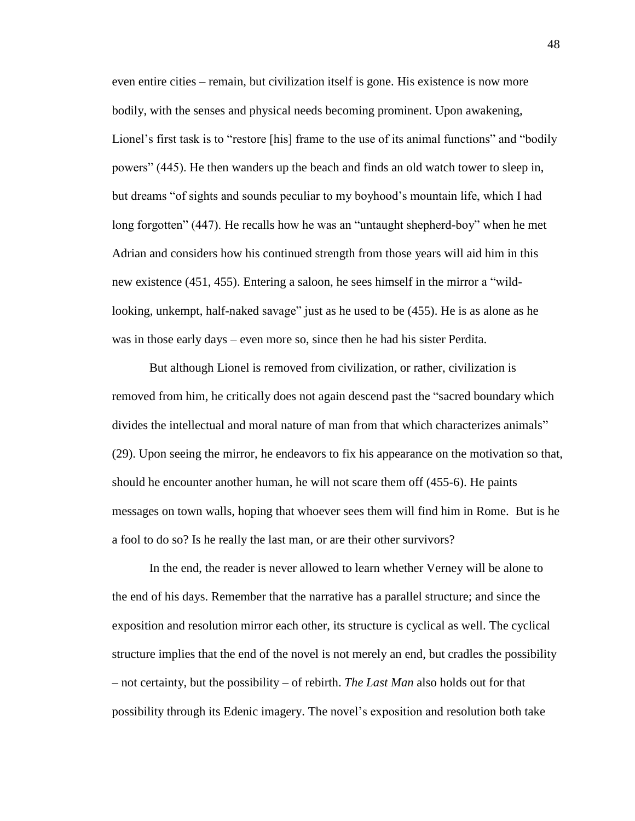even entire cities – remain, but civilization itself is gone. His existence is now more bodily, with the senses and physical needs becoming prominent. Upon awakening, Lionel's first task is to "restore [his] frame to the use of its animal functions" and "bodily powers" (445). He then wanders up the beach and finds an old watch tower to sleep in, but dreams "of sights and sounds peculiar to my boyhood's mountain life, which I had long forgotten" (447). He recalls how he was an "untaught shepherd-boy" when he met Adrian and considers how his continued strength from those years will aid him in this new existence (451, 455). Entering a saloon, he sees himself in the mirror a "wildlooking, unkempt, half-naked savage" just as he used to be (455). He is as alone as he was in those early days – even more so, since then he had his sister Perdita.

But although Lionel is removed from civilization, or rather, civilization is removed from him, he critically does not again descend past the "sacred boundary which divides the intellectual and moral nature of man from that which characterizes animals" (29). Upon seeing the mirror, he endeavors to fix his appearance on the motivation so that, should he encounter another human, he will not scare them off (455-6). He paints messages on town walls, hoping that whoever sees them will find him in Rome. But is he a fool to do so? Is he really the last man, or are their other survivors?

In the end, the reader is never allowed to learn whether Verney will be alone to the end of his days. Remember that the narrative has a parallel structure; and since the exposition and resolution mirror each other, its structure is cyclical as well. The cyclical structure implies that the end of the novel is not merely an end, but cradles the possibility – not certainty, but the possibility – of rebirth. *The Last Man* also holds out for that possibility through its Edenic imagery. The novel's exposition and resolution both take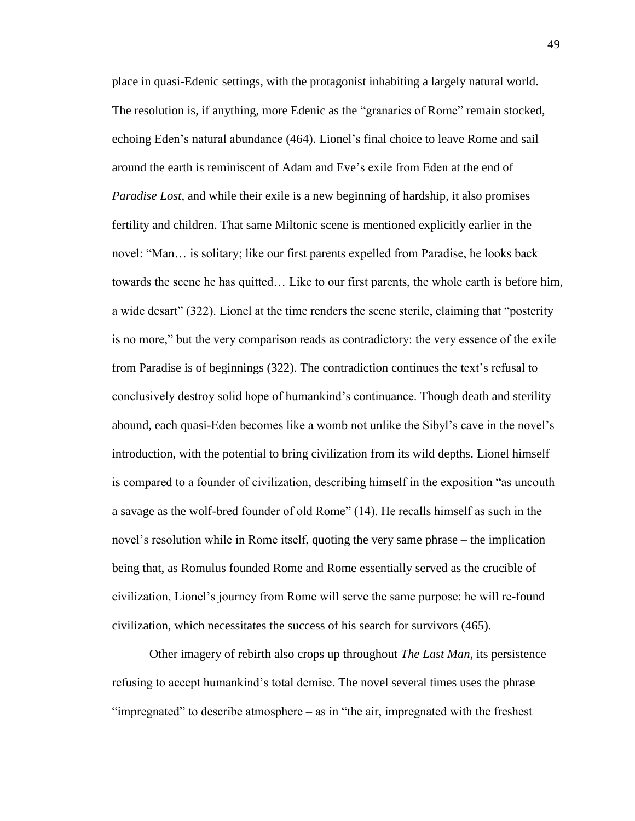place in quasi-Edenic settings, with the protagonist inhabiting a largely natural world. The resolution is, if anything, more Edenic as the "granaries of Rome" remain stocked, echoing Eden's natural abundance (464). Lionel's final choice to leave Rome and sail around the earth is reminiscent of Adam and Eve's exile from Eden at the end of *Paradise Lost*, and while their exile is a new beginning of hardship, it also promises fertility and children. That same Miltonic scene is mentioned explicitly earlier in the novel: "Man… is solitary; like our first parents expelled from Paradise, he looks back towards the scene he has quitted… Like to our first parents, the whole earth is before him, a wide desart" (322). Lionel at the time renders the scene sterile, claiming that "posterity is no more," but the very comparison reads as contradictory: the very essence of the exile from Paradise is of beginnings (322). The contradiction continues the text's refusal to conclusively destroy solid hope of humankind's continuance. Though death and sterility abound, each quasi-Eden becomes like a womb not unlike the Sibyl's cave in the novel's introduction, with the potential to bring civilization from its wild depths. Lionel himself is compared to a founder of civilization, describing himself in the exposition "as uncouth a savage as the wolf-bred founder of old Rome" (14). He recalls himself as such in the novel's resolution while in Rome itself, quoting the very same phrase – the implication being that, as Romulus founded Rome and Rome essentially served as the crucible of civilization, Lionel's journey from Rome will serve the same purpose: he will re-found civilization, which necessitates the success of his search for survivors (465).

Other imagery of rebirth also crops up throughout *The Last Man*, its persistence refusing to accept humankind's total demise. The novel several times uses the phrase "impregnated" to describe atmosphere – as in "the air, impregnated with the freshest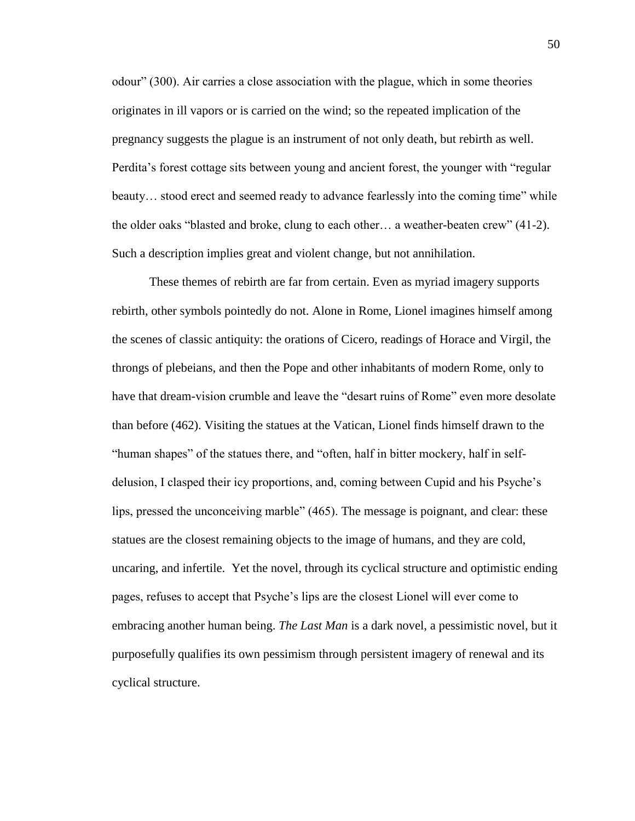odour" (300). Air carries a close association with the plague, which in some theories originates in ill vapors or is carried on the wind; so the repeated implication of the pregnancy suggests the plague is an instrument of not only death, but rebirth as well. Perdita's forest cottage sits between young and ancient forest, the younger with "regular beauty… stood erect and seemed ready to advance fearlessly into the coming time" while the older oaks "blasted and broke, clung to each other… a weather-beaten crew" (41-2). Such a description implies great and violent change, but not annihilation.

These themes of rebirth are far from certain. Even as myriad imagery supports rebirth, other symbols pointedly do not. Alone in Rome, Lionel imagines himself among the scenes of classic antiquity: the orations of Cicero, readings of Horace and Virgil, the throngs of plebeians, and then the Pope and other inhabitants of modern Rome, only to have that dream-vision crumble and leave the "desart ruins of Rome" even more desolate than before (462). Visiting the statues at the Vatican, Lionel finds himself drawn to the "human shapes" of the statues there, and "often, half in bitter mockery, half in selfdelusion, I clasped their icy proportions, and, coming between Cupid and his Psyche's lips, pressed the unconceiving marble" (465). The message is poignant, and clear: these statues are the closest remaining objects to the image of humans, and they are cold, uncaring, and infertile. Yet the novel, through its cyclical structure and optimistic ending pages, refuses to accept that Psyche's lips are the closest Lionel will ever come to embracing another human being. *The Last Man* is a dark novel, a pessimistic novel, but it purposefully qualifies its own pessimism through persistent imagery of renewal and its cyclical structure.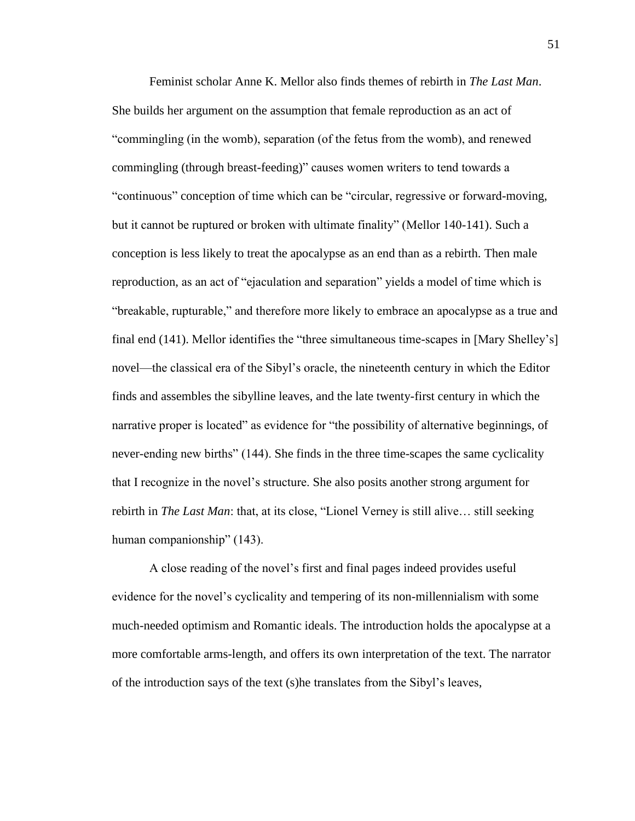Feminist scholar Anne K. Mellor also finds themes of rebirth in *The Last Man*. She builds her argument on the assumption that female reproduction as an act of "commingling (in the womb), separation (of the fetus from the womb), and renewed commingling (through breast-feeding)" causes women writers to tend towards a "continuous" conception of time which can be "circular, regressive or forward-moving, but it cannot be ruptured or broken with ultimate finality" (Mellor 140-141). Such a conception is less likely to treat the apocalypse as an end than as a rebirth. Then male reproduction, as an act of "ejaculation and separation" yields a model of time which is "breakable, rupturable," and therefore more likely to embrace an apocalypse as a true and final end (141). Mellor identifies the "three simultaneous time-scapes in [Mary Shelley's] novel—the classical era of the Sibyl's oracle, the nineteenth century in which the Editor finds and assembles the sibylline leaves, and the late twenty-first century in which the narrative proper is located" as evidence for "the possibility of alternative beginnings, of never-ending new births" (144). She finds in the three time-scapes the same cyclicality that I recognize in the novel's structure. She also posits another strong argument for rebirth in *The Last Man*: that, at its close, "Lionel Verney is still alive… still seeking human companionship" (143).

A close reading of the novel's first and final pages indeed provides useful evidence for the novel's cyclicality and tempering of its non-millennialism with some much-needed optimism and Romantic ideals. The introduction holds the apocalypse at a more comfortable arms-length, and offers its own interpretation of the text. The narrator of the introduction says of the text (s)he translates from the Sibyl's leaves,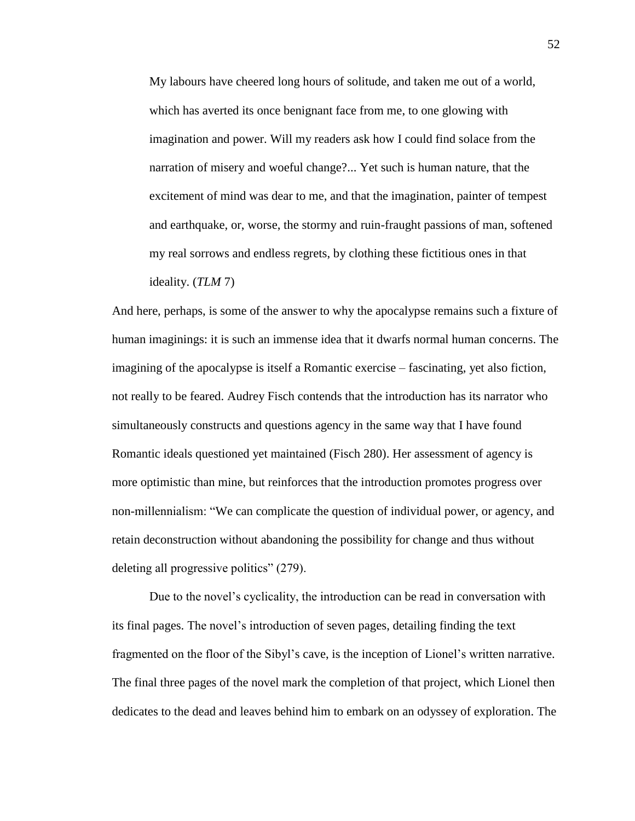My labours have cheered long hours of solitude, and taken me out of a world, which has averted its once benignant face from me, to one glowing with imagination and power. Will my readers ask how I could find solace from the narration of misery and woeful change?... Yet such is human nature, that the excitement of mind was dear to me, and that the imagination, painter of tempest and earthquake, or, worse, the stormy and ruin-fraught passions of man, softened my real sorrows and endless regrets, by clothing these fictitious ones in that ideality. (*TLM* 7)

And here, perhaps, is some of the answer to why the apocalypse remains such a fixture of human imaginings: it is such an immense idea that it dwarfs normal human concerns. The imagining of the apocalypse is itself a Romantic exercise – fascinating, yet also fiction, not really to be feared. Audrey Fisch contends that the introduction has its narrator who simultaneously constructs and questions agency in the same way that I have found Romantic ideals questioned yet maintained (Fisch 280). Her assessment of agency is more optimistic than mine, but reinforces that the introduction promotes progress over non-millennialism: "We can complicate the question of individual power, or agency, and retain deconstruction without abandoning the possibility for change and thus without deleting all progressive politics" (279).

Due to the novel's cyclicality, the introduction can be read in conversation with its final pages. The novel's introduction of seven pages, detailing finding the text fragmented on the floor of the Sibyl's cave, is the inception of Lionel's written narrative. The final three pages of the novel mark the completion of that project, which Lionel then dedicates to the dead and leaves behind him to embark on an odyssey of exploration. The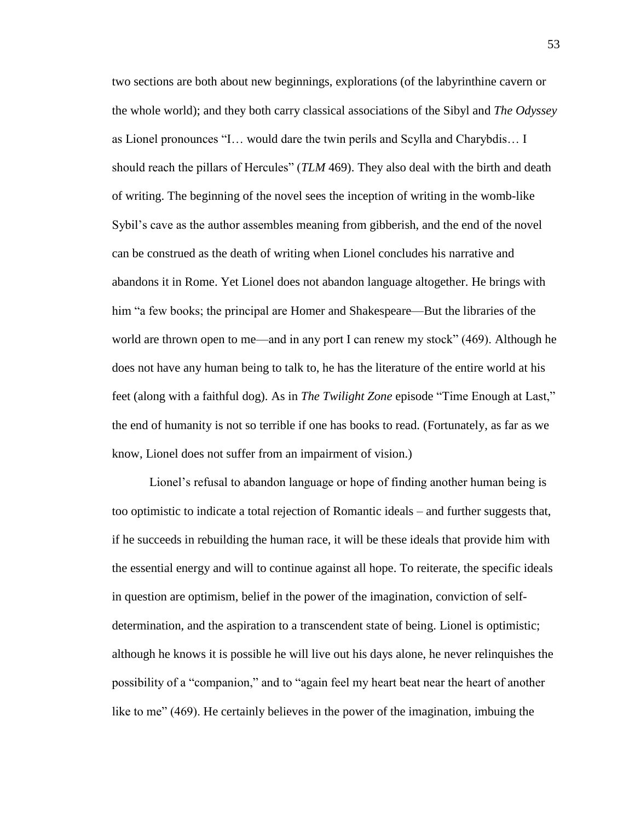two sections are both about new beginnings, explorations (of the labyrinthine cavern or the whole world); and they both carry classical associations of the Sibyl and *The Odyssey* as Lionel pronounces "I… would dare the twin perils and Scylla and Charybdis… I should reach the pillars of Hercules" (*TLM* 469). They also deal with the birth and death of writing. The beginning of the novel sees the inception of writing in the womb-like Sybil's cave as the author assembles meaning from gibberish, and the end of the novel can be construed as the death of writing when Lionel concludes his narrative and abandons it in Rome. Yet Lionel does not abandon language altogether. He brings with him "a few books; the principal are Homer and Shakespeare—But the libraries of the world are thrown open to me—and in any port I can renew my stock" (469). Although he does not have any human being to talk to, he has the literature of the entire world at his feet (along with a faithful dog). As in *The Twilight Zone* episode "Time Enough at Last," the end of humanity is not so terrible if one has books to read. (Fortunately, as far as we know, Lionel does not suffer from an impairment of vision.)

Lionel's refusal to abandon language or hope of finding another human being is too optimistic to indicate a total rejection of Romantic ideals – and further suggests that, if he succeeds in rebuilding the human race, it will be these ideals that provide him with the essential energy and will to continue against all hope. To reiterate, the specific ideals in question are optimism, belief in the power of the imagination, conviction of selfdetermination, and the aspiration to a transcendent state of being. Lionel is optimistic; although he knows it is possible he will live out his days alone, he never relinquishes the possibility of a "companion," and to "again feel my heart beat near the heart of another like to me" (469). He certainly believes in the power of the imagination, imbuing the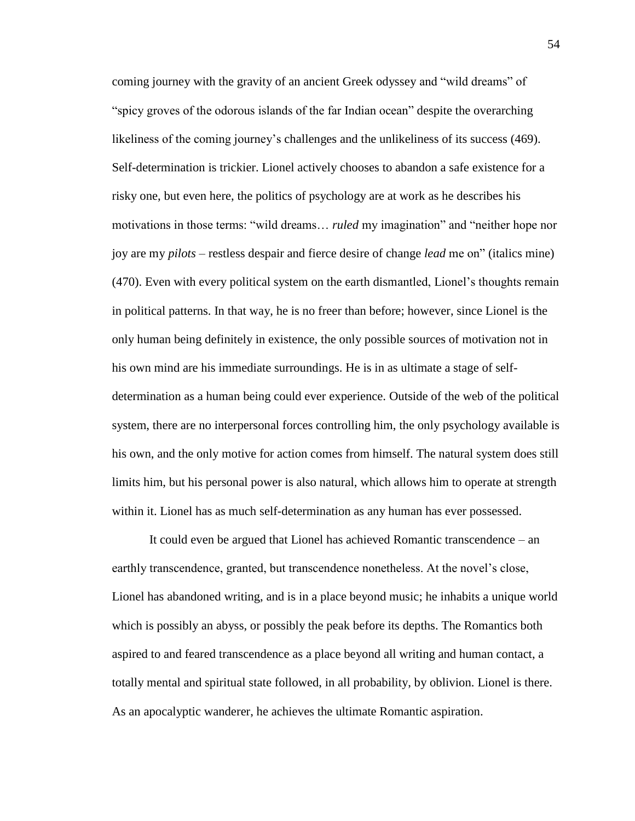coming journey with the gravity of an ancient Greek odyssey and "wild dreams" of "spicy groves of the odorous islands of the far Indian ocean" despite the overarching likeliness of the coming journey's challenges and the unlikeliness of its success (469). Self-determination is trickier. Lionel actively chooses to abandon a safe existence for a risky one, but even here, the politics of psychology are at work as he describes his motivations in those terms: "wild dreams… *ruled* my imagination" and "neither hope nor joy are my *pilots* – restless despair and fierce desire of change *lead* me on" (italics mine) (470). Even with every political system on the earth dismantled, Lionel's thoughts remain in political patterns. In that way, he is no freer than before; however, since Lionel is the only human being definitely in existence, the only possible sources of motivation not in his own mind are his immediate surroundings. He is in as ultimate a stage of selfdetermination as a human being could ever experience. Outside of the web of the political system, there are no interpersonal forces controlling him, the only psychology available is his own, and the only motive for action comes from himself. The natural system does still limits him, but his personal power is also natural, which allows him to operate at strength within it. Lionel has as much self-determination as any human has ever possessed.

It could even be argued that Lionel has achieved Romantic transcendence – an earthly transcendence, granted, but transcendence nonetheless. At the novel's close, Lionel has abandoned writing, and is in a place beyond music; he inhabits a unique world which is possibly an abyss, or possibly the peak before its depths. The Romantics both aspired to and feared transcendence as a place beyond all writing and human contact, a totally mental and spiritual state followed, in all probability, by oblivion. Lionel is there. As an apocalyptic wanderer, he achieves the ultimate Romantic aspiration.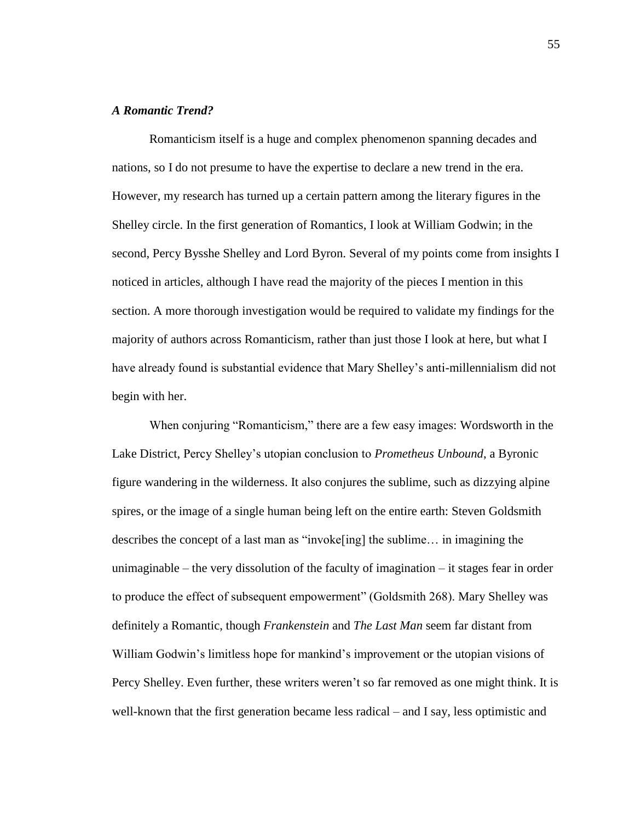# *A Romantic Trend?*

Romanticism itself is a huge and complex phenomenon spanning decades and nations, so I do not presume to have the expertise to declare a new trend in the era. However, my research has turned up a certain pattern among the literary figures in the Shelley circle. In the first generation of Romantics, I look at William Godwin; in the second, Percy Bysshe Shelley and Lord Byron. Several of my points come from insights I noticed in articles, although I have read the majority of the pieces I mention in this section. A more thorough investigation would be required to validate my findings for the majority of authors across Romanticism, rather than just those I look at here, but what I have already found is substantial evidence that Mary Shelley's anti-millennialism did not begin with her.

When conjuring "Romanticism," there are a few easy images: Wordsworth in the Lake District, Percy Shelley's utopian conclusion to *Prometheus Unbound*, a Byronic figure wandering in the wilderness. It also conjures the sublime, such as dizzying alpine spires, or the image of a single human being left on the entire earth: Steven Goldsmith describes the concept of a last man as "invoke[ing] the sublime… in imagining the unimaginable – the very dissolution of the faculty of imagination – it stages fear in order to produce the effect of subsequent empowerment" (Goldsmith 268). Mary Shelley was definitely a Romantic, though *Frankenstein* and *The Last Man* seem far distant from William Godwin's limitless hope for mankind's improvement or the utopian visions of Percy Shelley. Even further, these writers weren't so far removed as one might think. It is well-known that the first generation became less radical – and I say, less optimistic and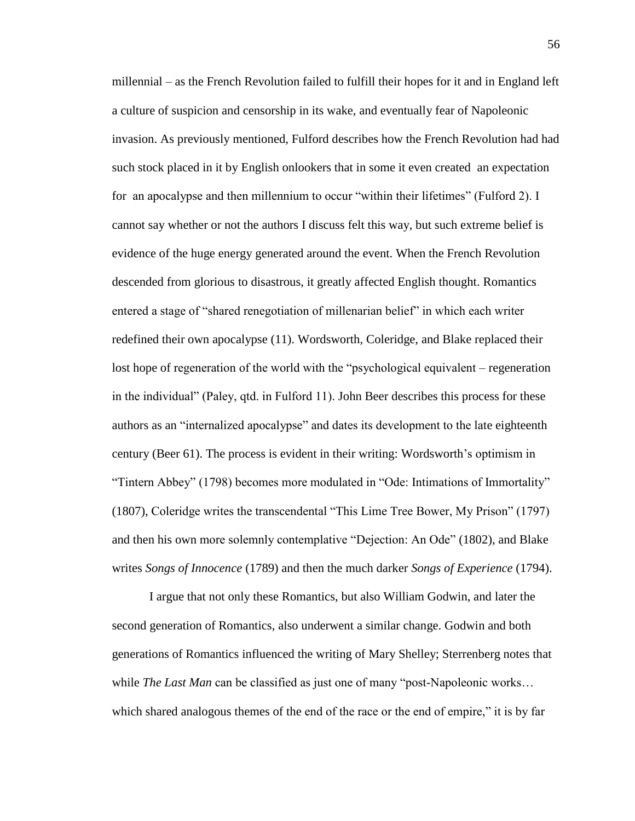millennial – as the French Revolution failed to fulfill their hopes for it and in England left a culture of suspicion and censorship in its wake, and eventually fear of Napoleonic invasion. As previously mentioned, Fulford describes how the French Revolution had had such stock placed in it by English onlookers that in some it even created an expectation for an apocalypse and then millennium to occur "within their lifetimes" (Fulford 2). I cannot say whether or not the authors I discuss felt this way, but such extreme belief is evidence of the huge energy generated around the event. When the French Revolution descended from glorious to disastrous, it greatly affected English thought. Romantics entered a stage of "shared renegotiation of millenarian belief" in which each writer redefined their own apocalypse (11). Wordsworth, Coleridge, and Blake replaced their lost hope of regeneration of the world with the "psychological equivalent – regeneration in the individual" (Paley, qtd. in Fulford 11). John Beer describes this process for these authors as an "internalized apocalypse" and dates its development to the late eighteenth century (Beer 61). The process is evident in their writing: Wordsworth's optimism in "Tintern Abbey" (1798) becomes more modulated in "Ode: Intimations of Immortality" (1807), Coleridge writes the transcendental "This Lime Tree Bower, My Prison" (1797) and then his own more solemnly contemplative "Dejection: An Ode" (1802), and Blake writes *Songs of Innocence* (1789) and then the much darker *Songs of Experience* (1794).

I argue that not only these Romantics, but also William Godwin, and later the second generation of Romantics, also underwent a similar change. Godwin and both generations of Romantics influenced the writing of Mary Shelley; Sterrenberg notes that while *The Last Man* can be classified as just one of many "post-Napoleonic works... which shared analogous themes of the end of the race or the end of empire," it is by far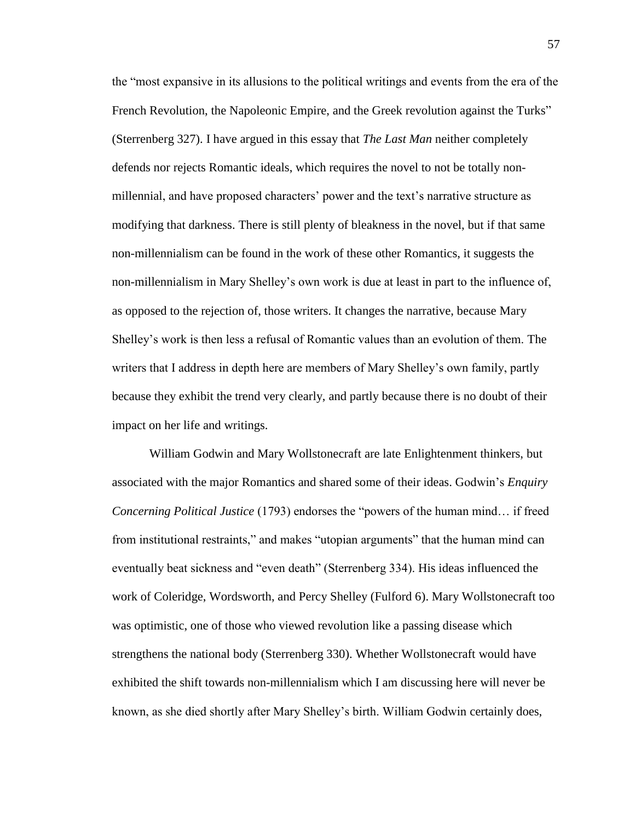the "most expansive in its allusions to the political writings and events from the era of the French Revolution, the Napoleonic Empire, and the Greek revolution against the Turks" (Sterrenberg 327). I have argued in this essay that *The Last Man* neither completely defends nor rejects Romantic ideals, which requires the novel to not be totally nonmillennial, and have proposed characters' power and the text's narrative structure as modifying that darkness. There is still plenty of bleakness in the novel, but if that same non-millennialism can be found in the work of these other Romantics, it suggests the non-millennialism in Mary Shelley's own work is due at least in part to the influence of, as opposed to the rejection of, those writers. It changes the narrative, because Mary Shelley's work is then less a refusal of Romantic values than an evolution of them. The writers that I address in depth here are members of Mary Shelley's own family, partly because they exhibit the trend very clearly, and partly because there is no doubt of their impact on her life and writings.

William Godwin and Mary Wollstonecraft are late Enlightenment thinkers, but associated with the major Romantics and shared some of their ideas. Godwin's *Enquiry Concerning Political Justice* (1793) endorses the "powers of the human mind… if freed from institutional restraints," and makes "utopian arguments" that the human mind can eventually beat sickness and "even death" (Sterrenberg 334). His ideas influenced the work of Coleridge, Wordsworth, and Percy Shelley (Fulford 6). Mary Wollstonecraft too was optimistic, one of those who viewed revolution like a passing disease which strengthens the national body (Sterrenberg 330). Whether Wollstonecraft would have exhibited the shift towards non-millennialism which I am discussing here will never be known, as she died shortly after Mary Shelley's birth. William Godwin certainly does,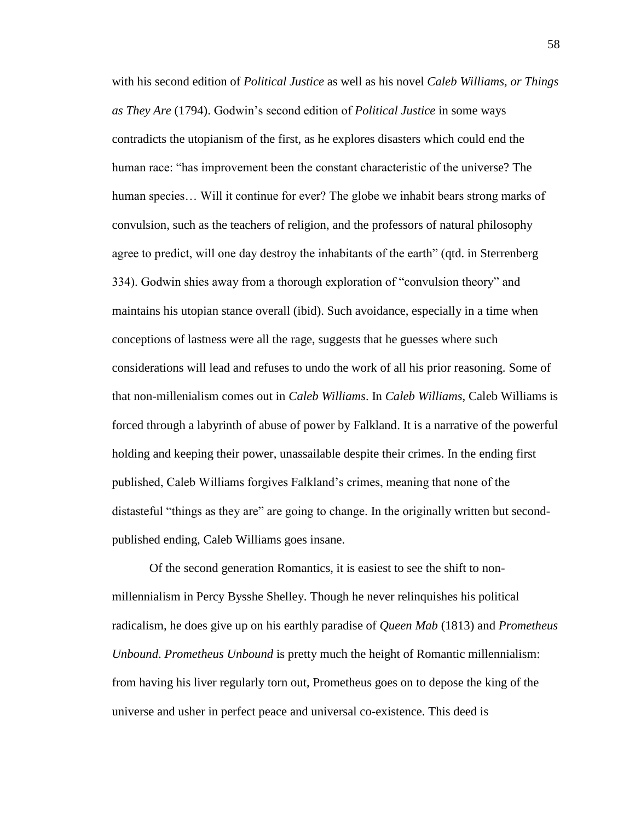with his second edition of *Political Justice* as well as his novel *Caleb Williams, or Things as They Are* (1794). Godwin's second edition of *Political Justice* in some ways contradicts the utopianism of the first, as he explores disasters which could end the human race: "has improvement been the constant characteristic of the universe? The human species… Will it continue for ever? The globe we inhabit bears strong marks of convulsion, such as the teachers of religion, and the professors of natural philosophy agree to predict, will one day destroy the inhabitants of the earth" (qtd. in Sterrenberg 334). Godwin shies away from a thorough exploration of "convulsion theory" and maintains his utopian stance overall (ibid). Such avoidance, especially in a time when conceptions of lastness were all the rage, suggests that he guesses where such considerations will lead and refuses to undo the work of all his prior reasoning. Some of that non-millenialism comes out in *Caleb Williams*. In *Caleb Williams*, Caleb Williams is forced through a labyrinth of abuse of power by Falkland. It is a narrative of the powerful holding and keeping their power, unassailable despite their crimes. In the ending first published, Caleb Williams forgives Falkland's crimes, meaning that none of the distasteful "things as they are" are going to change. In the originally written but secondpublished ending, Caleb Williams goes insane.

Of the second generation Romantics, it is easiest to see the shift to nonmillennialism in Percy Bysshe Shelley. Though he never relinquishes his political radicalism, he does give up on his earthly paradise of *Queen Mab* (1813) and *Prometheus Unbound*. *Prometheus Unbound* is pretty much the height of Romantic millennialism: from having his liver regularly torn out, Prometheus goes on to depose the king of the universe and usher in perfect peace and universal co-existence. This deed is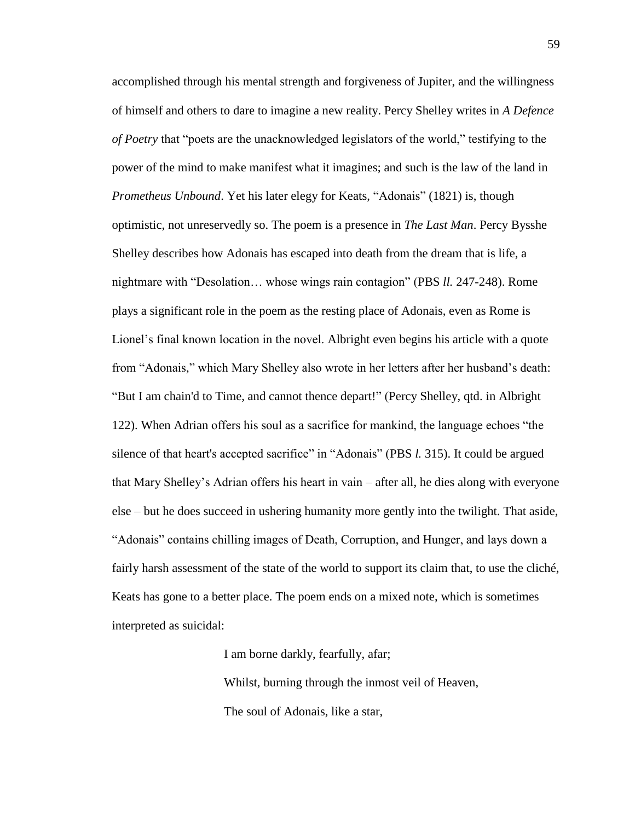accomplished through his mental strength and forgiveness of Jupiter, and the willingness of himself and others to dare to imagine a new reality. Percy Shelley writes in *A Defence of Poetry* that "poets are the unacknowledged legislators of the world," testifying to the power of the mind to make manifest what it imagines; and such is the law of the land in *Prometheus Unbound*. Yet his later elegy for Keats, "Adonais" (1821) is, though optimistic, not unreservedly so. The poem is a presence in *The Last Man*. Percy Bysshe Shelley describes how Adonais has escaped into death from the dream that is life, a nightmare with "Desolation… whose wings rain contagion" (PBS *ll.* 247-248). Rome plays a significant role in the poem as the resting place of Adonais, even as Rome is Lionel's final known location in the novel. Albright even begins his article with a quote from "Adonais," which Mary Shelley also wrote in her letters after her husband's death: "But I am chain'd to Time, and cannot thence depart!" (Percy Shelley, qtd. in Albright 122). When Adrian offers his soul as a sacrifice for mankind, the language echoes "the silence of that heart's accepted sacrifice" in "Adonais" (PBS *l.* 315). It could be argued that Mary Shelley's Adrian offers his heart in vain – after all, he dies along with everyone else – but he does succeed in ushering humanity more gently into the twilight. That aside, "Adonais" contains chilling images of Death, Corruption, and Hunger, and lays down a fairly harsh assessment of the state of the world to support its claim that, to use the cliché, Keats has gone to a better place. The poem ends on a mixed note, which is sometimes interpreted as suicidal:

> I am borne darkly, fearfully, afar; Whilst, burning through the inmost veil of Heaven, The soul of Adonais, like a star,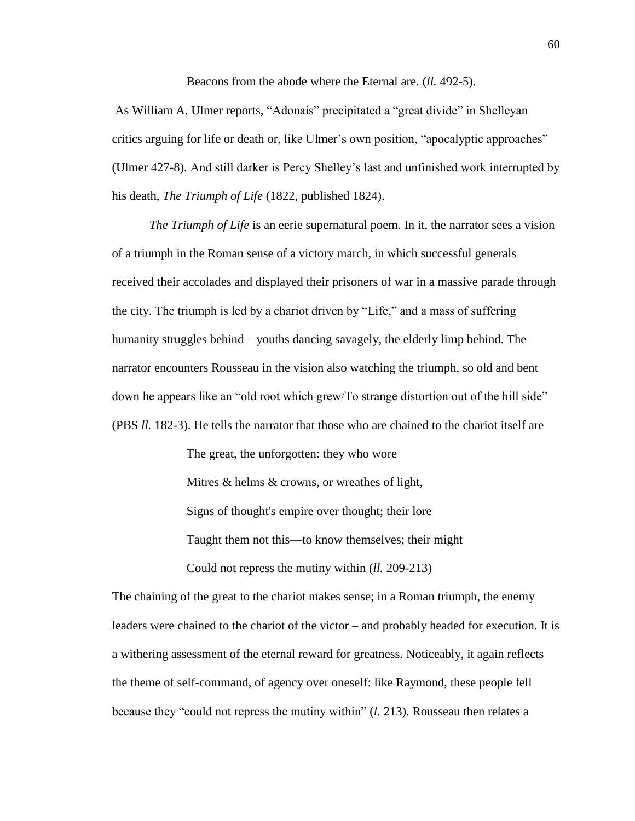Beacons from the abode where the Eternal are. (*ll.* 492-5).

As William A. Ulmer reports, "Adonais" precipitated a "great divide" in Shelleyan critics arguing for life or death or, like Ulmer's own position, "apocalyptic approaches" (Ulmer 427-8). And still darker is Percy Shelley's last and unfinished work interrupted by his death, *The Triumph of Life* (1822, published 1824).

*The Triumph of Life* is an eerie supernatural poem. In it, the narrator sees a vision of a triumph in the Roman sense of a victory march, in which successful generals received their accolades and displayed their prisoners of war in a massive parade through the city. The triumph is led by a chariot driven by "Life," and a mass of suffering humanity struggles behind – youths dancing savagely, the elderly limp behind. The narrator encounters Rousseau in the vision also watching the triumph, so old and bent down he appears like an "old root which grew/To strange distortion out of the hill side" (PBS *ll.* 182-3). He tells the narrator that those who are chained to the chariot itself are

> The great, the unforgotten: they who wore Mitres & helms & crowns, or wreathes of light, Signs of thought's empire over thought; their lore Taught them not this—to know themselves; their might Could not repress the mutiny within (*ll.* 209-213)

The chaining of the great to the chariot makes sense; in a Roman triumph, the enemy leaders were chained to the chariot of the victor – and probably headed for execution. It is a withering assessment of the eternal reward for greatness. Noticeably, it again reflects the theme of self-command, of agency over oneself: like Raymond, these people fell because they "could not repress the mutiny within" (*l.* 213). Rousseau then relates a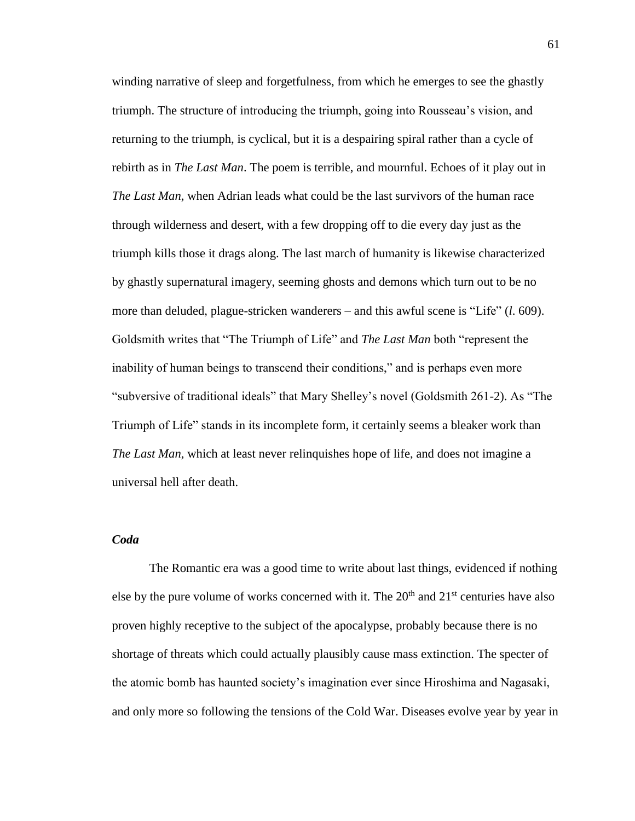winding narrative of sleep and forgetfulness, from which he emerges to see the ghastly triumph. The structure of introducing the triumph, going into Rousseau's vision, and returning to the triumph, is cyclical, but it is a despairing spiral rather than a cycle of rebirth as in *The Last Man*. The poem is terrible, and mournful. Echoes of it play out in *The Last Man*, when Adrian leads what could be the last survivors of the human race through wilderness and desert, with a few dropping off to die every day just as the triumph kills those it drags along. The last march of humanity is likewise characterized by ghastly supernatural imagery, seeming ghosts and demons which turn out to be no more than deluded, plague-stricken wanderers – and this awful scene is "Life" (*l*. 609). Goldsmith writes that "The Triumph of Life" and *The Last Man* both "represent the inability of human beings to transcend their conditions," and is perhaps even more "subversive of traditional ideals" that Mary Shelley's novel (Goldsmith 261-2). As "The Triumph of Life" stands in its incomplete form, it certainly seems a bleaker work than *The Last Man*, which at least never relinquishes hope of life, and does not imagine a universal hell after death.

# *Coda*

The Romantic era was a good time to write about last things, evidenced if nothing else by the pure volume of works concerned with it. The  $20<sup>th</sup>$  and  $21<sup>st</sup>$  centuries have also proven highly receptive to the subject of the apocalypse, probably because there is no shortage of threats which could actually plausibly cause mass extinction. The specter of the atomic bomb has haunted society's imagination ever since Hiroshima and Nagasaki, and only more so following the tensions of the Cold War. Diseases evolve year by year in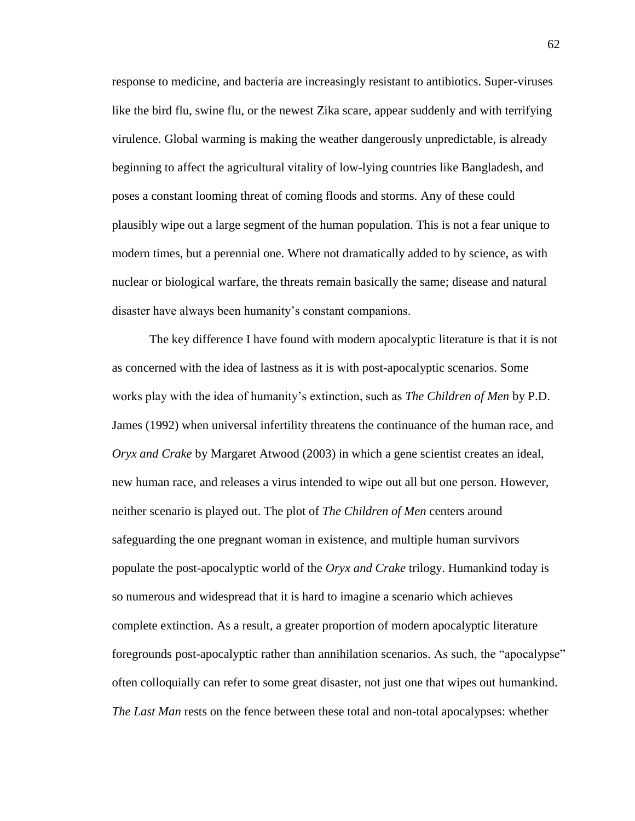response to medicine, and bacteria are increasingly resistant to antibiotics. Super-viruses like the bird flu, swine flu, or the newest Zika scare, appear suddenly and with terrifying virulence. Global warming is making the weather dangerously unpredictable, is already beginning to affect the agricultural vitality of low-lying countries like Bangladesh, and poses a constant looming threat of coming floods and storms. Any of these could plausibly wipe out a large segment of the human population. This is not a fear unique to modern times, but a perennial one. Where not dramatically added to by science, as with nuclear or biological warfare, the threats remain basically the same; disease and natural disaster have always been humanity's constant companions.

The key difference I have found with modern apocalyptic literature is that it is not as concerned with the idea of lastness as it is with post-apocalyptic scenarios. Some works play with the idea of humanity's extinction, such as *The Children of Men* by P.D. James (1992) when universal infertility threatens the continuance of the human race, and *Oryx and Crake* by Margaret Atwood (2003) in which a gene scientist creates an ideal, new human race, and releases a virus intended to wipe out all but one person. However, neither scenario is played out. The plot of *The Children of Men* centers around safeguarding the one pregnant woman in existence, and multiple human survivors populate the post-apocalyptic world of the *Oryx and Crake* trilogy. Humankind today is so numerous and widespread that it is hard to imagine a scenario which achieves complete extinction. As a result, a greater proportion of modern apocalyptic literature foregrounds post-apocalyptic rather than annihilation scenarios. As such, the "apocalypse" often colloquially can refer to some great disaster, not just one that wipes out humankind. *The Last Man* rests on the fence between these total and non-total apocalypses: whether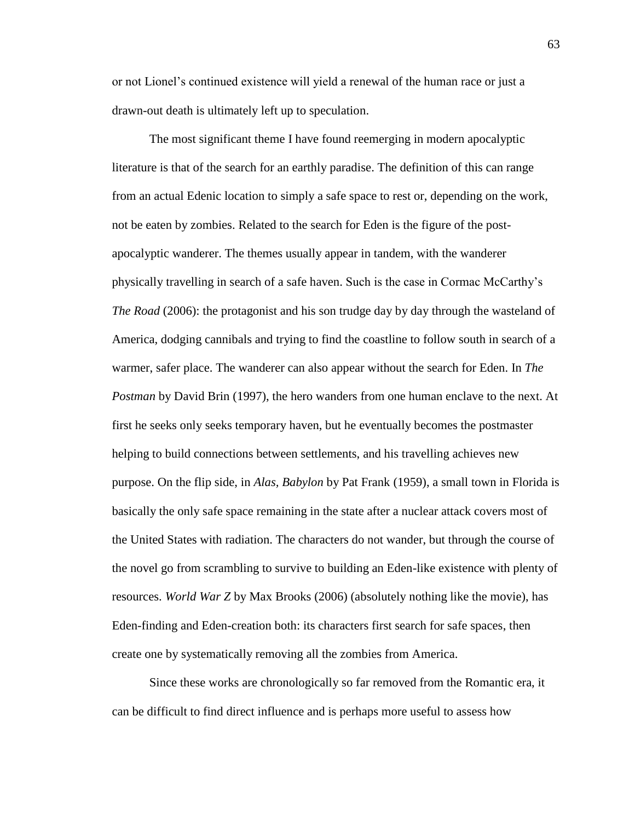or not Lionel's continued existence will yield a renewal of the human race or just a drawn-out death is ultimately left up to speculation.

The most significant theme I have found reemerging in modern apocalyptic literature is that of the search for an earthly paradise. The definition of this can range from an actual Edenic location to simply a safe space to rest or, depending on the work, not be eaten by zombies. Related to the search for Eden is the figure of the postapocalyptic wanderer. The themes usually appear in tandem, with the wanderer physically travelling in search of a safe haven. Such is the case in Cormac McCarthy's *The Road* (2006): the protagonist and his son trudge day by day through the wasteland of America, dodging cannibals and trying to find the coastline to follow south in search of a warmer, safer place. The wanderer can also appear without the search for Eden. In *The Postman* by David Brin (1997), the hero wanders from one human enclave to the next. At first he seeks only seeks temporary haven, but he eventually becomes the postmaster helping to build connections between settlements, and his travelling achieves new purpose. On the flip side, in *Alas, Babylon* by Pat Frank (1959), a small town in Florida is basically the only safe space remaining in the state after a nuclear attack covers most of the United States with radiation. The characters do not wander, but through the course of the novel go from scrambling to survive to building an Eden-like existence with plenty of resources. *World War Z* by Max Brooks (2006) (absolutely nothing like the movie), has Eden-finding and Eden-creation both: its characters first search for safe spaces, then create one by systematically removing all the zombies from America.

Since these works are chronologically so far removed from the Romantic era, it can be difficult to find direct influence and is perhaps more useful to assess how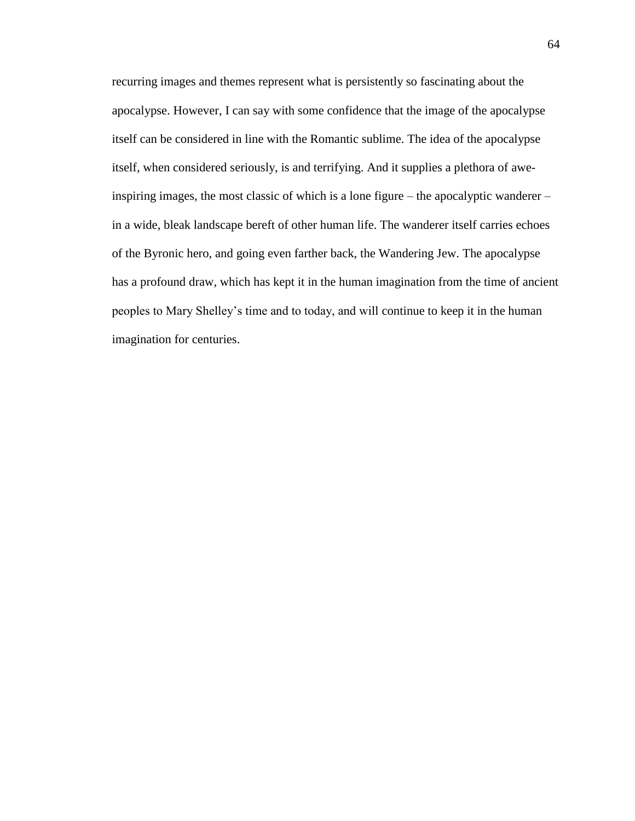recurring images and themes represent what is persistently so fascinating about the apocalypse. However, I can say with some confidence that the image of the apocalypse itself can be considered in line with the Romantic sublime. The idea of the apocalypse itself, when considered seriously, is and terrifying. And it supplies a plethora of aweinspiring images, the most classic of which is a lone figure – the apocalyptic wanderer – in a wide, bleak landscape bereft of other human life. The wanderer itself carries echoes of the Byronic hero, and going even farther back, the Wandering Jew. The apocalypse has a profound draw, which has kept it in the human imagination from the time of ancient peoples to Mary Shelley's time and to today, and will continue to keep it in the human imagination for centuries.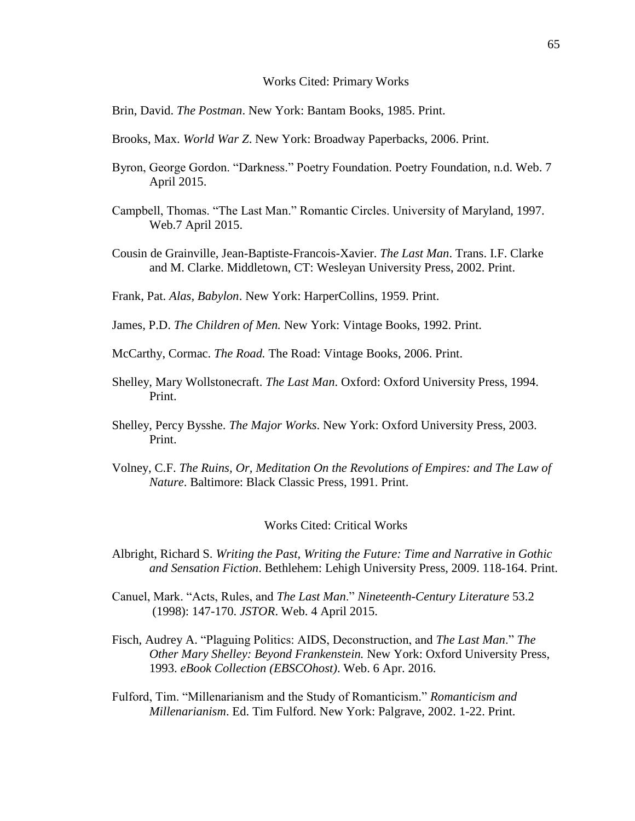#### Works Cited: Primary Works

Brin, David. *The Postman*. New York: Bantam Books, 1985. Print.

- Brooks, Max. *World War Z*. New York: Broadway Paperbacks, 2006. Print.
- Byron, George Gordon. "Darkness." Poetry Foundation. Poetry Foundation, n.d. Web. 7 April 2015.
- Campbell, Thomas. "The Last Man." Romantic Circles. University of Maryland, 1997. Web.7 April 2015.
- Cousin de Grainville, Jean-Baptiste-Francois-Xavier. *The Last Man*. Trans. I.F. Clarke and M. Clarke. Middletown, CT: Wesleyan University Press, 2002. Print.
- Frank, Pat. *Alas, Babylon*. New York: HarperCollins, 1959. Print.
- James, P.D. *The Children of Men.* New York: Vintage Books, 1992. Print.
- McCarthy, Cormac. *The Road.* The Road: Vintage Books, 2006. Print.
- Shelley, Mary Wollstonecraft. *The Last Man*. Oxford: Oxford University Press, 1994. Print.
- Shelley, Percy Bysshe. *The Major Works*. New York: Oxford University Press, 2003. Print.
- Volney, C.F. *The Ruins, Or, Meditation On the Revolutions of Empires: and The Law of Nature*. Baltimore: Black Classic Press, 1991. Print.

#### Works Cited: Critical Works

- Albright, Richard S. *Writing the Past, Writing the Future: Time and Narrative in Gothic and Sensation Fiction*. Bethlehem: Lehigh University Press, 2009. 118-164. Print.
- Canuel, Mark. "Acts, Rules, and *The Last Man*." *Nineteenth-Century Literature* 53.2 (1998): 147-170. *JSTOR*. Web. 4 April 2015.
- Fisch, Audrey A. "Plaguing Politics: AIDS, Deconstruction, and *The Last Man*." *The Other Mary Shelley: Beyond Frankenstein.* New York: Oxford University Press, 1993. *eBook Collection (EBSCOhost)*. Web. 6 Apr. 2016.
- Fulford, Tim. "Millenarianism and the Study of Romanticism." *Romanticism and Millenarianism*. Ed. Tim Fulford. New York: Palgrave, 2002. 1-22. Print.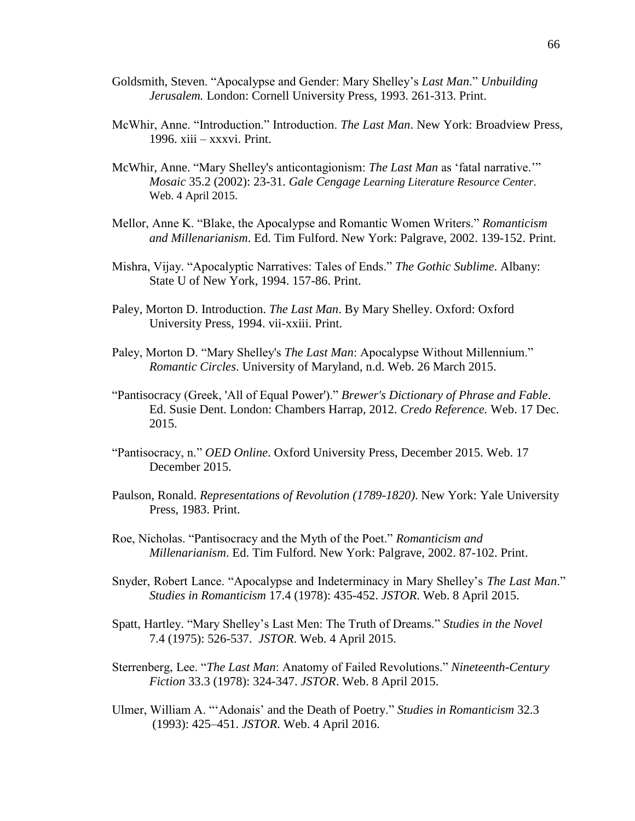- Goldsmith, Steven. "Apocalypse and Gender: Mary Shelley's *Last Man*." *Unbuilding Jerusalem.* London: Cornell University Press, 1993. 261-313. Print.
- McWhir, Anne. "Introduction." Introduction. *The Last Man*. New York: Broadview Press, 1996. xiii – xxxvi. Print.
- McWhir, Anne. "Mary Shelley's anticontagionism: *The Last Man* as 'fatal narrative.'" *Mosaic* 35.2 (2002): 23-31. *Gale Cengage Learning Literature Resource Center*. Web. 4 April 2015.
- Mellor, Anne K. "Blake, the Apocalypse and Romantic Women Writers." *Romanticism and Millenarianism*. Ed. Tim Fulford. New York: Palgrave, 2002. 139-152. Print.
- Mishra, Vijay. "Apocalyptic Narratives: Tales of Ends." *The Gothic Sublime*. Albany: State U of New York, 1994. 157-86. Print.
- Paley, Morton D. Introduction. *The Last Man*. By Mary Shelley. Oxford: Oxford University Press, 1994. vii-xxiii. Print.
- Paley, Morton D. "Mary Shelley's *The Last Man*: Apocalypse Without Millennium." *Romantic Circles*. University of Maryland, n.d. Web. 26 March 2015.
- "Pantisocracy (Greek, 'All of Equal Power')." *Brewer's Dictionary of Phrase and Fable*. Ed. Susie Dent. London: Chambers Harrap, 2012. *Credo Reference.* Web. 17 Dec. 2015.
- "Pantisocracy, n." *OED Online*. Oxford University Press, December 2015. Web. 17 December 2015.
- Paulson, Ronald. *Representations of Revolution (1789-1820)*. New York: Yale University Press, 1983. Print.
- Roe, Nicholas. "Pantisocracy and the Myth of the Poet." *Romanticism and Millenarianism*. Ed. Tim Fulford. New York: Palgrave, 2002. 87-102. Print.
- Snyder, Robert Lance. "Apocalypse and Indeterminacy in Mary Shelley's *The Last Man*." *Studies in Romanticism* 17.4 (1978): 435-452. *JSTOR*. Web. 8 April 2015.
- Spatt, Hartley. "Mary Shelley's Last Men: The Truth of Dreams." *Studies in the Novel*  7.4 (1975): 526-537. *JSTOR*. Web. 4 April 2015.
- Sterrenberg, Lee. "*The Last Man*: Anatomy of Failed Revolutions." *Nineteenth-Century Fiction* 33.3 (1978): 324-347. *JSTOR*. Web. 8 April 2015.
- Ulmer, William A. "'Adonais' and the Death of Poetry." *Studies in Romanticism* 32.3 (1993): 425–451. *JSTOR*. Web. 4 April 2016.